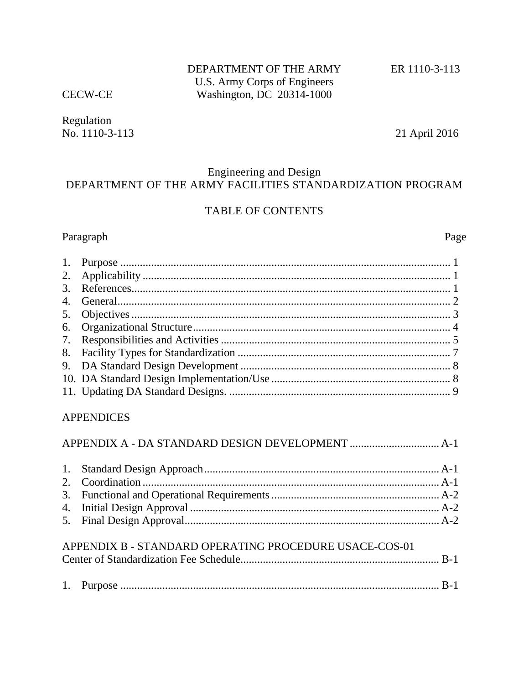**CECW-CE** 

Regulation No. 1110-3-113

# Engineering and Design DEPARTMENT OF THE ARMY FACILITIES STANDARDIZATION PROGRAM

# **TABLE OF CONTENTS**

# **APPENDICES**

| 2. |                                                        |  |
|----|--------------------------------------------------------|--|
|    |                                                        |  |
|    |                                                        |  |
|    |                                                        |  |
|    | APPENDIX B - STANDARD OPERATING PROCEDURE USACE-COS-01 |  |
|    |                                                        |  |
|    |                                                        |  |

21 April 2016

Page

# Paragraph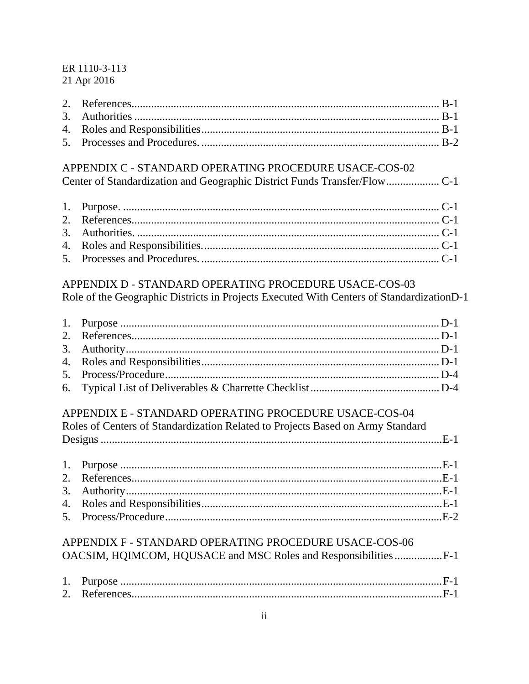# ER 1110-3-113 21 Apr 2016

# APPENDIX C - STANDARD OPERATING PROCEDURE USACE-COS-02

# APPENDIX D - STANDARD OPERATING PROCEDURE USACE-COS-03

Role of the Geographic Districts in Projects Executed With Centers of StandardizationD-1

# APPENDIX E - STANDARD OPERATING PROCEDURE USACE-COS-04

| Roles of Centers of Standardization Related to Projects Based on Army Standard |  |
|--------------------------------------------------------------------------------|--|
|                                                                                |  |
|                                                                                |  |
|                                                                                |  |
|                                                                                |  |
|                                                                                |  |
|                                                                                |  |
|                                                                                |  |
|                                                                                |  |

# APPENDIX F - STANDARD OPERATING PROCEDURE USACE-COS-06 OACSIM, HQIMCOM, HQUSACE and MSC Roles and Responsibilities ...................... F-1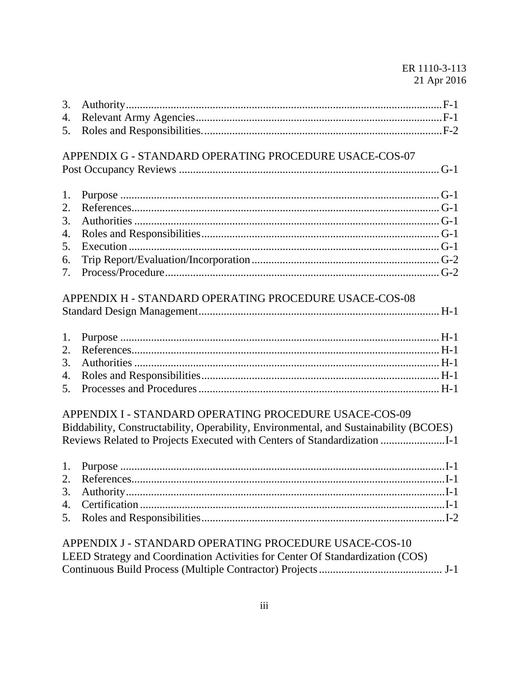| 3.<br>4. |                                                                                       |  |  |  |
|----------|---------------------------------------------------------------------------------------|--|--|--|
| 5.       |                                                                                       |  |  |  |
|          | APPENDIX G - STANDARD OPERATING PROCEDURE USACE-COS-07                                |  |  |  |
|          |                                                                                       |  |  |  |
| 1.       |                                                                                       |  |  |  |
| 2.       |                                                                                       |  |  |  |
| 3.       |                                                                                       |  |  |  |
| 4.       |                                                                                       |  |  |  |
| 5.       |                                                                                       |  |  |  |
| 6.       |                                                                                       |  |  |  |
| 7.       |                                                                                       |  |  |  |
|          | APPENDIX H - STANDARD OPERATING PROCEDURE USACE-COS-08                                |  |  |  |
|          |                                                                                       |  |  |  |
| 1.       |                                                                                       |  |  |  |
| 2.       |                                                                                       |  |  |  |
| 3.       |                                                                                       |  |  |  |
| 4.       |                                                                                       |  |  |  |
| 5.       |                                                                                       |  |  |  |
|          | APPENDIX I - STANDARD OPERATING PROCEDURE USACE-COS-09                                |  |  |  |
|          | Biddability, Constructability, Operability, Environmental, and Sustainability (BCOES) |  |  |  |
|          | Reviews Related to Projects Executed with Centers of Standardization                  |  |  |  |
| 1.       |                                                                                       |  |  |  |
|          |                                                                                       |  |  |  |
| 3.       |                                                                                       |  |  |  |
| 4.       |                                                                                       |  |  |  |
| 5.       |                                                                                       |  |  |  |
|          |                                                                                       |  |  |  |
|          | APPENDIX J - STANDARD OPERATING PROCEDURE USACE-COS-10                                |  |  |  |
|          | LEED Strategy and Coordination Activities for Center Of Standardization (COS)         |  |  |  |
|          |                                                                                       |  |  |  |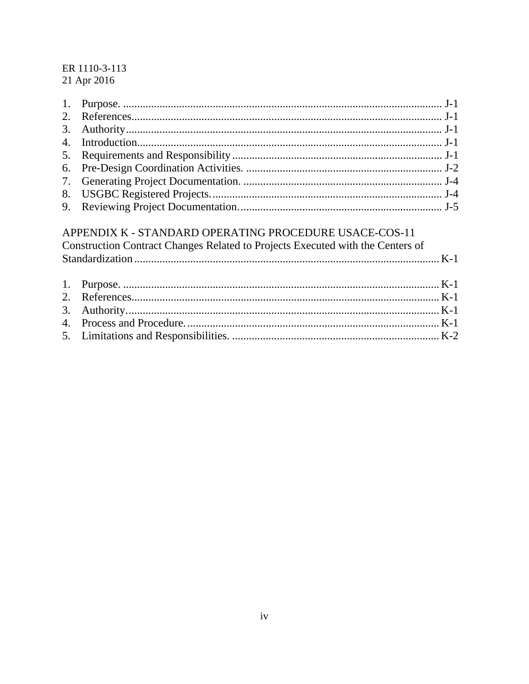# ER 1110-3-113 21 Apr 2016

| 1. |                                                                                                                                          |  |
|----|------------------------------------------------------------------------------------------------------------------------------------------|--|
| 2. |                                                                                                                                          |  |
| 3. |                                                                                                                                          |  |
| 4. |                                                                                                                                          |  |
| 5. |                                                                                                                                          |  |
| 6. |                                                                                                                                          |  |
| 7. |                                                                                                                                          |  |
| 8. |                                                                                                                                          |  |
| 9. |                                                                                                                                          |  |
|    | APPENDIX K - STANDARD OPERATING PROCEDURE USACE-COS-11<br>Construction Contract Changes Related to Projects Executed with the Centers of |  |
|    |                                                                                                                                          |  |
| 1. |                                                                                                                                          |  |
| 2. |                                                                                                                                          |  |
| 3. |                                                                                                                                          |  |
| 4. |                                                                                                                                          |  |
|    |                                                                                                                                          |  |
| 5. |                                                                                                                                          |  |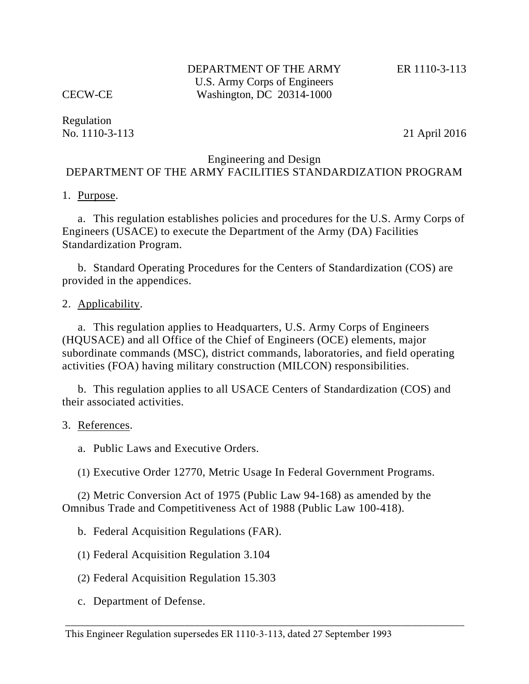CECW-CE

Regulation No. 1110-3-113 21 April 2016

ER 1110-3-113

## Engineering and Design DEPARTMENT OF THE ARMY FACILITIES STANDARDIZATION PROGRAM

# 1. Purpose.

a. This regulation establishes policies and procedures for the U.S. Army Corps of Engineers (USACE) to execute the Department of the Army (DA) Facilities Standardization Program.

b. Standard Operating Procedures for the Centers of Standardization (COS) are provided in the appendices.

# 2. Applicability.

a. This regulation applies to Headquarters, U.S. Army Corps of Engineers (HQUSACE) and all Office of the Chief of Engineers (OCE) elements, major subordinate commands (MSC), district commands, laboratories, and field operating activities (FOA) having military construction (MILCON) responsibilities.

b. This regulation applies to all USACE Centers of Standardization (COS) and their associated activities.

# 3. References.

a. Public Laws and Executive Orders.

(1) Executive Order 12770, Metric Usage In Federal Government Programs.

\_\_\_\_\_\_\_\_\_\_\_\_\_\_\_\_\_\_\_\_\_\_\_\_\_\_\_\_\_\_\_\_\_\_\_\_\_\_\_\_\_\_\_\_\_\_\_\_\_\_\_\_\_\_\_\_\_\_\_\_\_\_\_\_\_\_\_\_\_\_\_\_\_\_\_\_\_

(2) Metric Conversion Act of 1975 (Public Law 94-168) as amended by the Omnibus Trade and Competitiveness Act of 1988 (Public Law 100-418).

b. Federal Acquisition Regulations (FAR).

(1) Federal Acquisition Regulation 3.104

- (2) Federal Acquisition Regulation 15.303
- c. Department of Defense.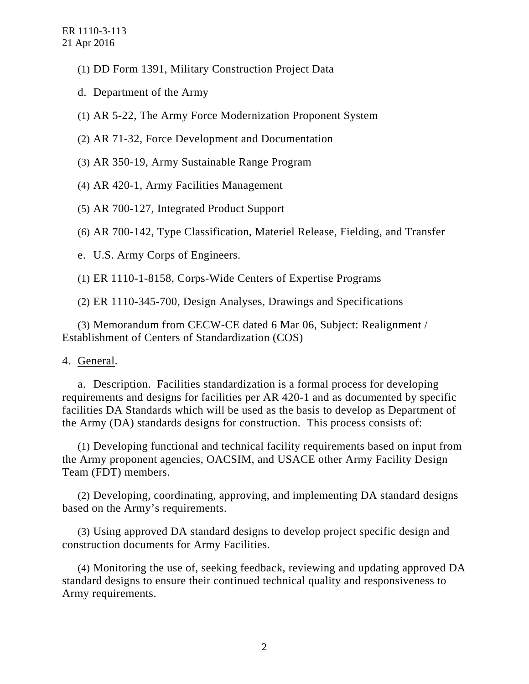- <span id="page-5-0"></span>(1) DD Form 1391, Military Construction Project Data
- d. Department of the Army
- (1) AR 5-22, The Army Force Modernization Proponent System
- (2) AR 71-32, Force Development and Documentation
- (3) AR 350-19, Army Sustainable Range Program
- (4) AR 420-1, Army Facilities Management
- (5) AR 700-127, Integrated Product Support
- (6) AR 700-142, Type Classification, Materiel Release, Fielding, and Transfer
- e. U.S. Army Corps of Engineers.
- (1) ER 1110-1-8158, Corps-Wide Centers of Expertise Programs

(2) ER 1110-345-700, Design Analyses, Drawings and Specifications

(3) Memorandum from CECW-CE dated 6 Mar 06, Subject: Realignment / Establishment of Centers of Standardization (COS)

# 4. General.

a. Description. Facilities standardization is a formal process for developing requirements and designs for facilities per AR 420-1 and as documented by specific facilities DA Standards which will be used as the basis to develop as Department of the Army (DA) standards designs for construction. This process consists of:

(1) Developing functional and technical facility requirements based on input from the Army proponent agencies, OACSIM, and USACE other Army Facility Design Team (FDT) members.

(2) Developing, coordinating, approving, and implementing DA standard designs based on the Army's requirements.

(3) Using approved DA standard designs to develop project specific design and construction documents for Army Facilities.

(4) Monitoring the use of, seeking feedback, reviewing and updating approved DA standard designs to ensure their continued technical quality and responsiveness to Army requirements.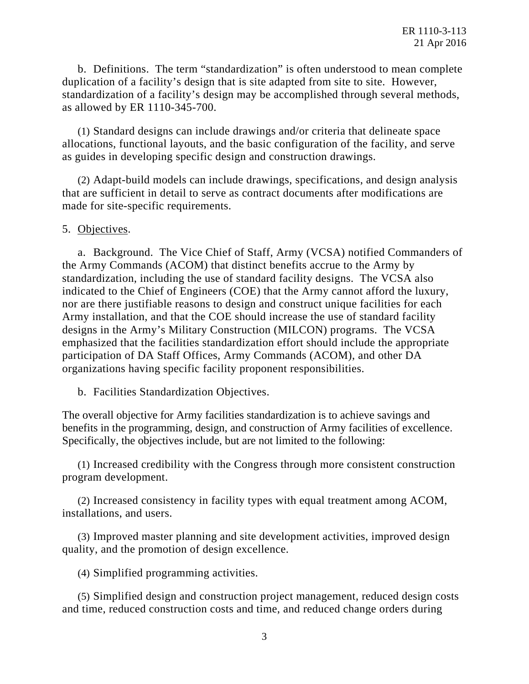<span id="page-6-0"></span>b. Definitions. The term "standardization" is often understood to mean complete duplication of a facility's design that is site adapted from site to site. However, standardization of a facility's design may be accomplished through several methods, as allowed by ER 1110-345-700.

(1) Standard designs can include drawings and/or criteria that delineate space allocations, functional layouts, and the basic configuration of the facility, and serve as guides in developing specific design and construction drawings.

(2) Adapt-build models can include drawings, specifications, and design analysis that are sufficient in detail to serve as contract documents after modifications are made for site-specific requirements.

# 5. Objectives.

a. Background. The Vice Chief of Staff, Army (VCSA) notified Commanders of the Army Commands (ACOM) that distinct benefits accrue to the Army by standardization, including the use of standard facility designs. The VCSA also indicated to the Chief of Engineers (COE) that the Army cannot afford the luxury, nor are there justifiable reasons to design and construct unique facilities for each Army installation, and that the COE should increase the use of standard facility designs in the Army's Military Construction (MILCON) programs. The VCSA emphasized that the facilities standardization effort should include the appropriate participation of DA Staff Offices, Army Commands (ACOM), and other DA organizations having specific facility proponent responsibilities.

b. Facilities Standardization Objectives.

The overall objective for Army facilities standardization is to achieve savings and benefits in the programming, design, and construction of Army facilities of excellence. Specifically, the objectives include, but are not limited to the following:

(1) Increased credibility with the Congress through more consistent construction program development.

(2) Increased consistency in facility types with equal treatment among ACOM, installations, and users.

(3) Improved master planning and site development activities, improved design quality, and the promotion of design excellence.

(4) Simplified programming activities.

(5) Simplified design and construction project management, reduced design costs and time, reduced construction costs and time, and reduced change orders during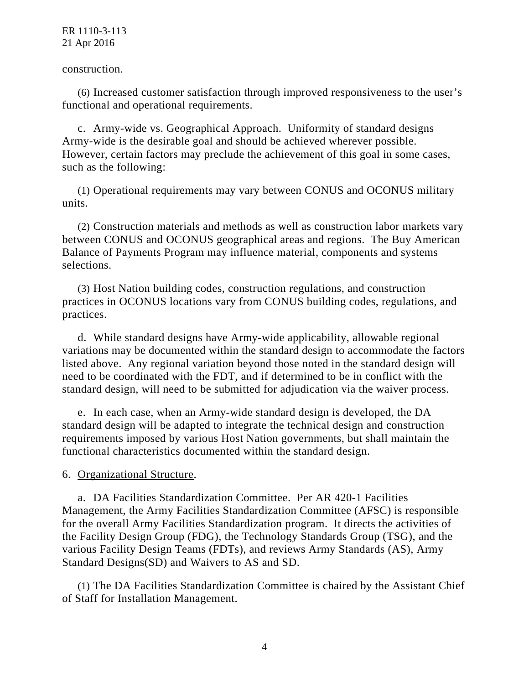# <span id="page-7-0"></span>construction.

(6) Increased customer satisfaction through improved responsiveness to the user's functional and operational requirements.

c. Army-wide vs. Geographical Approach. Uniformity of standard designs Army-wide is the desirable goal and should be achieved wherever possible. However, certain factors may preclude the achievement of this goal in some cases, such as the following:

(1) Operational requirements may vary between CONUS and OCONUS military units.

(2) Construction materials and methods as well as construction labor markets vary between CONUS and OCONUS geographical areas and regions. The Buy American Balance of Payments Program may influence material, components and systems selections.

(3) Host Nation building codes, construction regulations, and construction practices in OCONUS locations vary from CONUS building codes, regulations, and practices.

d. While standard designs have Army-wide applicability, allowable regional variations may be documented within the standard design to accommodate the factors listed above. Any regional variation beyond those noted in the standard design will need to be coordinated with the FDT, and if determined to be in conflict with the standard design, will need to be submitted for adjudication via the waiver process.

e. In each case, when an Army-wide standard design is developed, the DA standard design will be adapted to integrate the technical design and construction requirements imposed by various Host Nation governments, but shall maintain the functional characteristics documented within the standard design.

6. Organizational Structure.

a. DA Facilities Standardization Committee. Per AR 420-1 Facilities Management, the Army Facilities Standardization Committee (AFSC) is responsible for the overall Army Facilities Standardization program. It directs the activities of the Facility Design Group (FDG), the Technology Standards Group (TSG), and the various Facility Design Teams (FDTs), and reviews Army Standards (AS), Army Standard Designs(SD) and Waivers to AS and SD.

(1) The DA Facilities Standardization Committee is chaired by the Assistant Chief of Staff for Installation Management.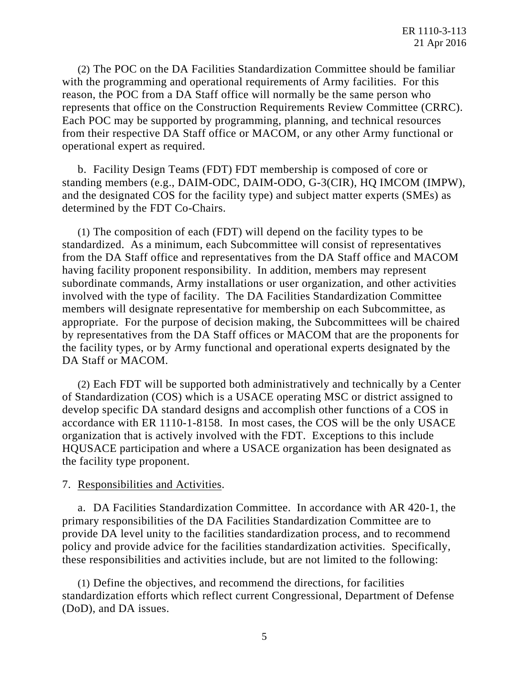<span id="page-8-0"></span>(2) The POC on the DA Facilities Standardization Committee should be familiar with the programming and operational requirements of Army facilities. For this reason, the POC from a DA Staff office will normally be the same person who represents that office on the Construction Requirements Review Committee (CRRC). Each POC may be supported by programming, planning, and technical resources from their respective DA Staff office or MACOM, or any other Army functional or operational expert as required.

b. Facility Design Teams (FDT) FDT membership is composed of core or standing members (e.g., DAIM-ODC, DAIM-ODO, G-3(CIR), HQ IMCOM (IMPW), and the designated COS for the facility type) and subject matter experts (SMEs) as determined by the FDT Co-Chairs.

(1) The composition of each (FDT) will depend on the facility types to be standardized. As a minimum, each Subcommittee will consist of representatives from the DA Staff office and representatives from the DA Staff office and MACOM having facility proponent responsibility. In addition, members may represent subordinate commands, Army installations or user organization, and other activities involved with the type of facility. The DA Facilities Standardization Committee members will designate representative for membership on each Subcommittee, as appropriate. For the purpose of decision making, the Subcommittees will be chaired by representatives from the DA Staff offices or MACOM that are the proponents for the facility types, or by Army functional and operational experts designated by the DA Staff or MACOM.

(2) Each FDT will be supported both administratively and technically by a Center of Standardization (COS) which is a USACE operating MSC or district assigned to develop specific DA standard designs and accomplish other functions of a COS in accordance with ER 1110-1-8158. In most cases, the COS will be the only USACE organization that is actively involved with the FDT. Exceptions to this include HQUSACE participation and where a USACE organization has been designated as the facility type proponent.

#### 7. Responsibilities and Activities.

a. DA Facilities Standardization Committee. In accordance with AR 420-1, the primary responsibilities of the DA Facilities Standardization Committee are to provide DA level unity to the facilities standardization process, and to recommend policy and provide advice for the facilities standardization activities. Specifically, these responsibilities and activities include, but are not limited to the following:

(1) Define the objectives, and recommend the directions, for facilities standardization efforts which reflect current Congressional, Department of Defense (DoD), and DA issues.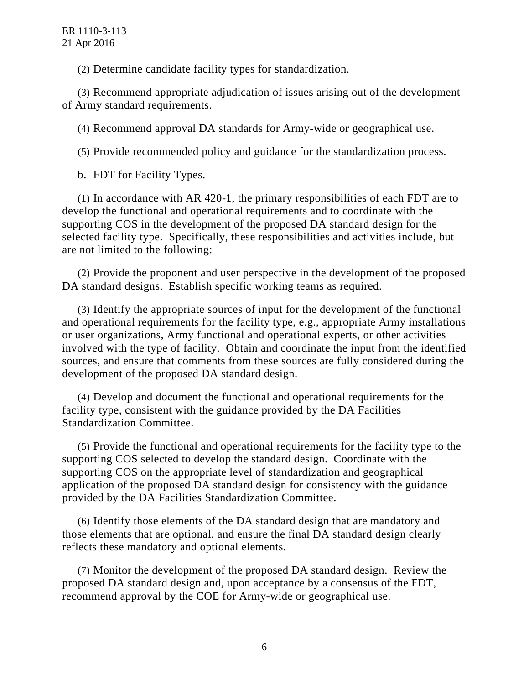(2) Determine candidate facility types for standardization.

(3) Recommend appropriate adjudication of issues arising out of the development of Army standard requirements.

(4) Recommend approval DA standards for Army-wide or geographical use.

(5) Provide recommended policy and guidance for the standardization process.

b. FDT for Facility Types.

(1) In accordance with AR 420-1, the primary responsibilities of each FDT are to develop the functional and operational requirements and to coordinate with the supporting COS in the development of the proposed DA standard design for the selected facility type. Specifically, these responsibilities and activities include, but are not limited to the following:

(2) Provide the proponent and user perspective in the development of the proposed DA standard designs. Establish specific working teams as required.

(3) Identify the appropriate sources of input for the development of the functional and operational requirements for the facility type, e.g., appropriate Army installations or user organizations, Army functional and operational experts, or other activities involved with the type of facility. Obtain and coordinate the input from the identified sources, and ensure that comments from these sources are fully considered during the development of the proposed DA standard design.

(4) Develop and document the functional and operational requirements for the facility type, consistent with the guidance provided by the DA Facilities Standardization Committee.

(5) Provide the functional and operational requirements for the facility type to the supporting COS selected to develop the standard design. Coordinate with the supporting COS on the appropriate level of standardization and geographical application of the proposed DA standard design for consistency with the guidance provided by the DA Facilities Standardization Committee.

(6) Identify those elements of the DA standard design that are mandatory and those elements that are optional, and ensure the final DA standard design clearly reflects these mandatory and optional elements.

(7) Monitor the development of the proposed DA standard design. Review the proposed DA standard design and, upon acceptance by a consensus of the FDT, recommend approval by the COE for Army-wide or geographical use.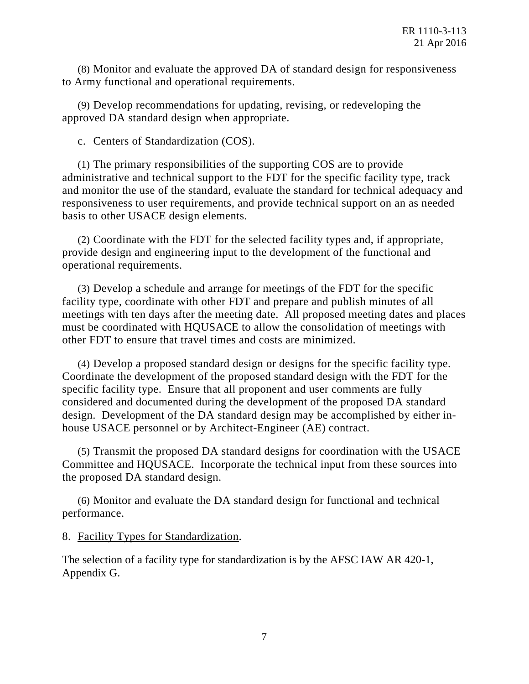<span id="page-10-0"></span>(8) Monitor and evaluate the approved DA of standard design for responsiveness to Army functional and operational requirements.

(9) Develop recommendations for updating, revising, or redeveloping the approved DA standard design when appropriate.

c. Centers of Standardization (COS).

(1) The primary responsibilities of the supporting COS are to provide administrative and technical support to the FDT for the specific facility type, track and monitor the use of the standard, evaluate the standard for technical adequacy and responsiveness to user requirements, and provide technical support on an as needed basis to other USACE design elements.

(2) Coordinate with the FDT for the selected facility types and, if appropriate, provide design and engineering input to the development of the functional and operational requirements.

(3) Develop a schedule and arrange for meetings of the FDT for the specific facility type, coordinate with other FDT and prepare and publish minutes of all meetings with ten days after the meeting date. All proposed meeting dates and places must be coordinated with HQUSACE to allow the consolidation of meetings with other FDT to ensure that travel times and costs are minimized.

(4) Develop a proposed standard design or designs for the specific facility type. Coordinate the development of the proposed standard design with the FDT for the specific facility type. Ensure that all proponent and user comments are fully considered and documented during the development of the proposed DA standard design. Development of the DA standard design may be accomplished by either inhouse USACE personnel or by Architect-Engineer (AE) contract.

(5) Transmit the proposed DA standard designs for coordination with the USACE Committee and HQUSACE. Incorporate the technical input from these sources into the proposed DA standard design.

(6) Monitor and evaluate the DA standard design for functional and technical performance.

8. Facility Types for Standardization.

The selection of a facility type for standardization is by the AFSC IAW AR 420-1, Appendix G.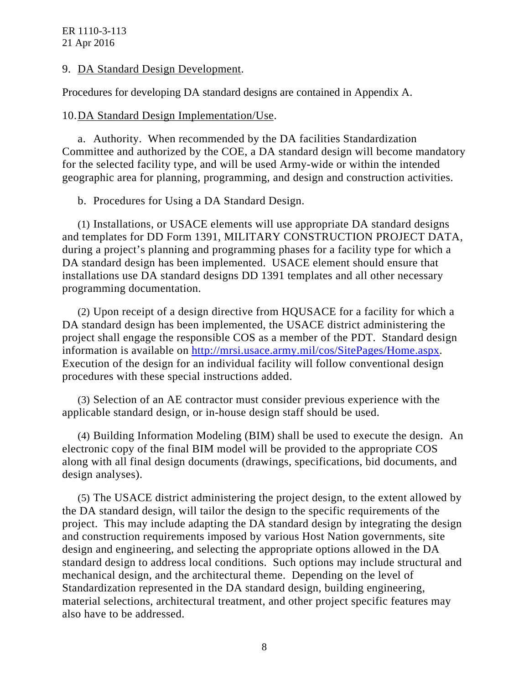# <span id="page-11-0"></span>9. DA Standard Design Development.

Procedures for developing DA standard designs are contained in Appendix A.

# 10.DA Standard Design Implementation/Use.

a. Authority. When recommended by the DA facilities Standardization Committee and authorized by the COE, a DA standard design will become mandatory for the selected facility type, and will be used Army-wide or within the intended geographic area for planning, programming, and design and construction activities.

b. Procedures for Using a DA Standard Design.

(1) Installations, or USACE elements will use appropriate DA standard designs and templates for DD Form 1391, MILITARY CONSTRUCTION PROJECT DATA, during a project's planning and programming phases for a facility type for which a DA standard design has been implemented. USACE element should ensure that installations use DA standard designs DD 1391 templates and all other necessary programming documentation.

(2) Upon receipt of a design directive from HQUSACE for a facility for which a DA standard design has been implemented, the USACE district administering the project shall engage the responsible COS as a member of the PDT. Standard design information is available on http://mrsi.usace.army.mil/cos/SitePages/Home.aspx. Execution of the design for an individual facility will follow conventional design procedures with these special instructions added.

(3) Selection of an AE contractor must consider previous experience with the applicable standard design, or in-house design staff should be used.

(4) Building Information Modeling (BIM) shall be used to execute the design. An electronic copy of the final BIM model will be provided to the appropriate COS along with all final design documents (drawings, specifications, bid documents, and design analyses).

(5) The USACE district administering the project design, to the extent allowed by the DA standard design, will tailor the design to the specific requirements of the project. This may include adapting the DA standard design by integrating the design and construction requirements imposed by various Host Nation governments, site design and engineering, and selecting the appropriate options allowed in the DA standard design to address local conditions. Such options may include structural and mechanical design, and the architectural theme. Depending on the level of Standardization represented in the DA standard design, building engineering, material selections, architectural treatment, and other project specific features may also have to be addressed.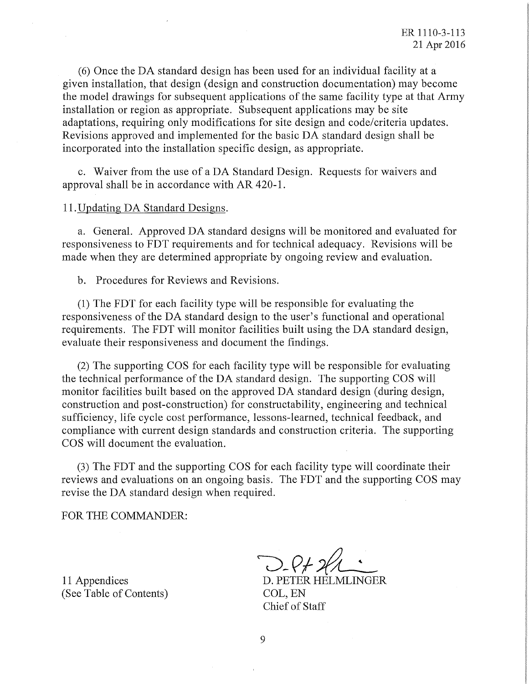(6) Once the DA standard design has been used for an individual facility at a given installation, that design (design and construction documentation) may become the model drawings for subsequent applications of the same facility type at that Army installation or region as appropriate. Subsequent applications may be site adaptations, requiring only modifications for site design and code/criteria updates. Revisions approved and implemented for the basic DA standard design shall be incorporated into the installation specific design, as appropriate.

c. Waiver from the use of a DA Standard Design. Requests for waivers and approval shall be in accordance with AR 420-1.

#### 11. Updating DA Standard Designs.

a. General. Approved DA standard designs will be monitored and evaluated for responsiveness to FDT requirements and for technical adequacy. Revisions will be made when they are determined appropriate by ongoing review and evaluation.

b. Procedures for Reviews and Revisions.

(1) The FDT for each facility type will be responsible for evaluating the responsiveness of the DA standard design to the user's functional and operational requirements. The FDT will monitor facilities built using the DA standard design, evaluate their responsiveness and document the findings.

(2) The supporting COS for each facility type will be responsible for evaluating the technical performance of the DA standard design. The supporting COS will monitor facilities built based on the approved DA standard design (during design, construction and post-construction) for constructability, engineering and technical sufficiency, life cycle cost performance, lessons-learned, technical feedback, and compliance with current design standards and construction criteria. The supporting COS will document the evaluation.

(3) The FDT and the supporting COS for each facility type will coordinate their reviews and evaluations on an ongoing basis. The FDT and the supporting COS may revise the DA standard design when required.

FOR THE COMMANDER:

(See Table of Contents) COL, EN

 $D-PfZ$ 

11 Appendices D. PETER HELMLINGER Chief of Staff

9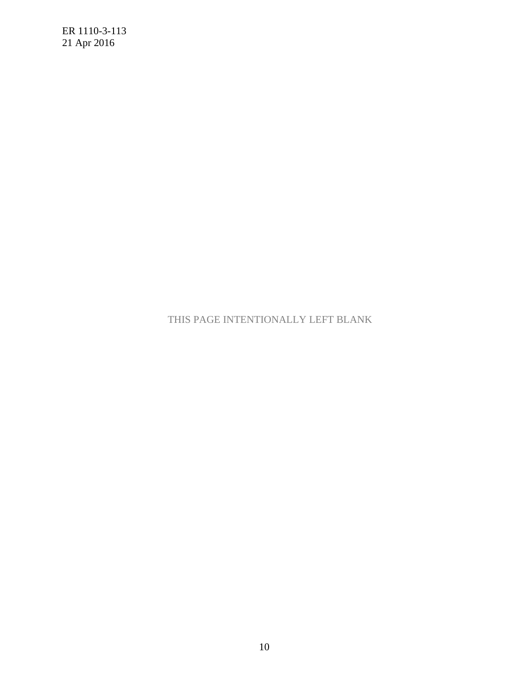ER 1110-3-113 21 Apr 2016

THIS PAGE INTENTIONALLY LEFT BLANK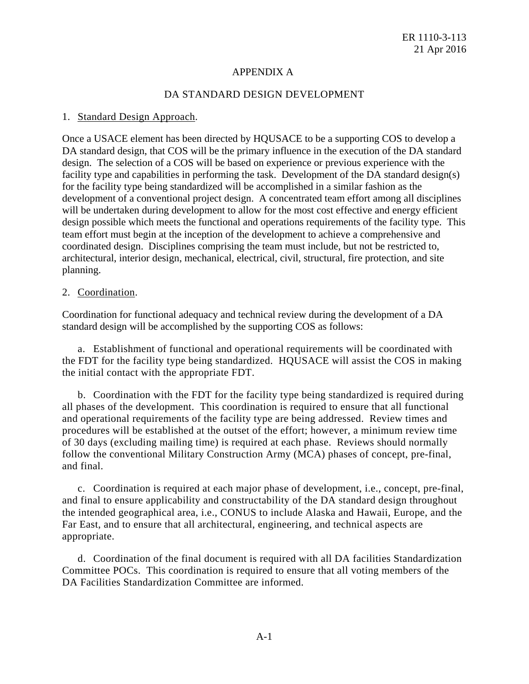# APPENDIX A

# DA STANDARD DESIGN DEVELOPMENT

#### <span id="page-14-0"></span>1. Standard Design Approach.

Once a USACE element has been directed by HQUSACE to be a supporting COS to develop a DA standard design, that COS will be the primary influence in the execution of the DA standard design. The selection of a COS will be based on experience or previous experience with the facility type and capabilities in performing the task. Development of the DA standard design(s) for the facility type being standardized will be accomplished in a similar fashion as the development of a conventional project design. A concentrated team effort among all disciplines will be undertaken during development to allow for the most cost effective and energy efficient design possible which meets the functional and operations requirements of the facility type. This team effort must begin at the inception of the development to achieve a comprehensive and coordinated design. Disciplines comprising the team must include, but not be restricted to, architectural, interior design, mechanical, electrical, civil, structural, fire protection, and site planning.

#### 2. Coordination.

Coordination for functional adequacy and technical review during the development of a DA standard design will be accomplished by the supporting COS as follows:

a. Establishment of functional and operational requirements will be coordinated with the FDT for the facility type being standardized. HQUSACE will assist the COS in making the initial contact with the appropriate FDT.

b. Coordination with the FDT for the facility type being standardized is required during all phases of the development. This coordination is required to ensure that all functional and operational requirements of the facility type are being addressed. Review times and procedures will be established at the outset of the effort; however, a minimum review time of 30 days (excluding mailing time) is required at each phase. Reviews should normally follow the conventional Military Construction Army (MCA) phases of concept, pre-final, and final.

c. Coordination is required at each major phase of development, i.e., concept, pre-final, and final to ensure applicability and constructability of the DA standard design throughout the intended geographical area, i.e., CONUS to include Alaska and Hawaii, Europe, and the Far East, and to ensure that all architectural, engineering, and technical aspects are appropriate.

d. Coordination of the final document is required with all DA facilities Standardization Committee POCs. This coordination is required to ensure that all voting members of the DA Facilities Standardization Committee are informed.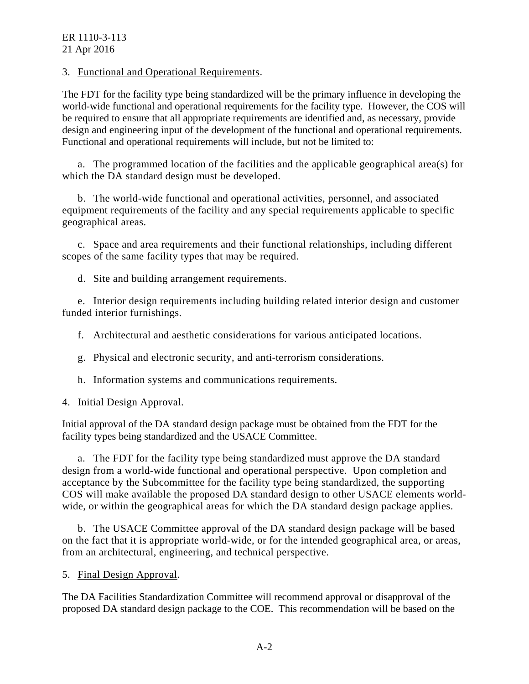<span id="page-15-0"></span>3. Functional and Operational Requirements.

The FDT for the facility type being standardized will be the primary influence in developing the world-wide functional and operational requirements for the facility type. However, the COS will be required to ensure that all appropriate requirements are identified and, as necessary, provide design and engineering input of the development of the functional and operational requirements. Functional and operational requirements will include, but not be limited to:

a. The programmed location of the facilities and the applicable geographical area(s) for which the DA standard design must be developed.

b. The world-wide functional and operational activities, personnel, and associated equipment requirements of the facility and any special requirements applicable to specific geographical areas.

c. Space and area requirements and their functional relationships, including different scopes of the same facility types that may be required.

d. Site and building arrangement requirements.

e. Interior design requirements including building related interior design and customer funded interior furnishings.

f. Architectural and aesthetic considerations for various anticipated locations.

g. Physical and electronic security, and anti-terrorism considerations.

h. Information systems and communications requirements.

4. Initial Design Approval.

Initial approval of the DA standard design package must be obtained from the FDT for the facility types being standardized and the USACE Committee.

a. The FDT for the facility type being standardized must approve the DA standard design from a world-wide functional and operational perspective. Upon completion and acceptance by the Subcommittee for the facility type being standardized, the supporting COS will make available the proposed DA standard design to other USACE elements worldwide, or within the geographical areas for which the DA standard design package applies.

b. The USACE Committee approval of the DA standard design package will be based on the fact that it is appropriate world-wide, or for the intended geographical area, or areas, from an architectural, engineering, and technical perspective.

5. Final Design Approval.

The DA Facilities Standardization Committee will recommend approval or disapproval of the proposed DA standard design package to the COE. This recommendation will be based on the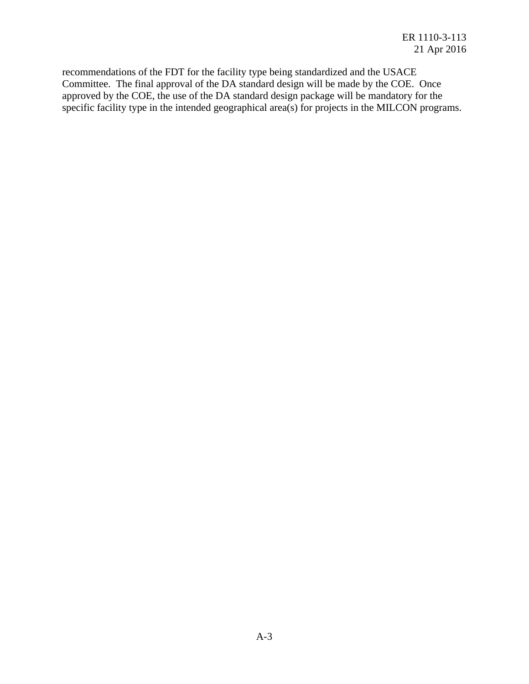recommendations of the FDT for the facility type being standardized and the USACE Committee. The final approval of the DA standard design will be made by the COE. Once approved by the COE, the use of the DA standard design package will be mandatory for the specific facility type in the intended geographical area(s) for projects in the MILCON programs.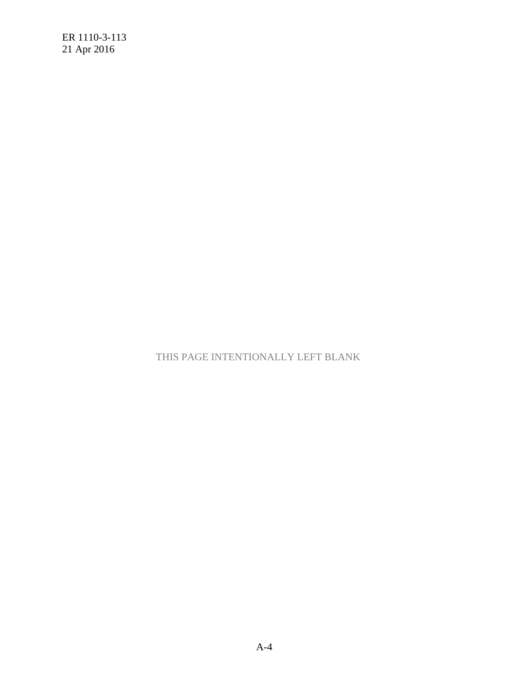ER 1110-3-113 21 Apr 2016

THIS PAGE INTENTIONALLY LEFT BLANK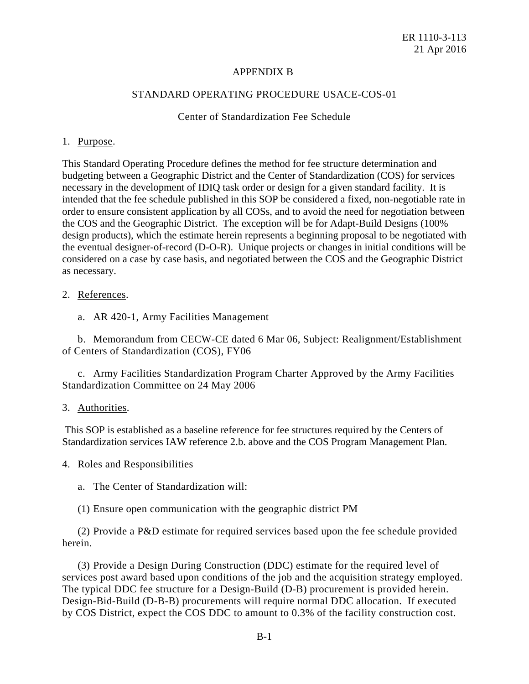## APPENDIX B

#### STANDARD OPERATING PROCEDURE USACE-COS-01

#### Center of Standardization Fee Schedule

#### <span id="page-18-0"></span>1. Purpose.

This Standard Operating Procedure defines the method for fee structure determination and budgeting between a Geographic District and the Center of Standardization (COS) for services necessary in the development of IDIQ task order or design for a given standard facility. It is intended that the fee schedule published in this SOP be considered a fixed, non-negotiable rate in order to ensure consistent application by all COSs, and to avoid the need for negotiation between the COS and the Geographic District. The exception will be for Adapt-Build Designs (100% design products), which the estimate herein represents a beginning proposal to be negotiated with the eventual designer-of-record (D-O-R). Unique projects or changes in initial conditions will be considered on a case by case basis, and negotiated between the COS and the Geographic District as necessary.

#### 2. References.

a. AR 420-1, Army Facilities Management

b. Memorandum from CECW-CE dated 6 Mar 06, Subject: Realignment/Establishment of Centers of Standardization (COS), FY06

c. Army Facilities Standardization Program Charter Approved by the Army Facilities Standardization Committee on 24 May 2006

#### 3. Authorities.

 This SOP is established as a baseline reference for fee structures required by the Centers of Standardization services IAW reference 2.b. above and the COS Program Management Plan.

#### 4. Roles and Responsibilities

a. The Center of Standardization will:

(1) Ensure open communication with the geographic district PM

(2) Provide a P&D estimate for required services based upon the fee schedule provided herein.

(3) Provide a Design During Construction (DDC) estimate for the required level of services post award based upon conditions of the job and the acquisition strategy employed. The typical DDC fee structure for a Design-Build (D-B) procurement is provided herein. Design-Bid-Build (D-B-B) procurements will require normal DDC allocation. If executed by COS District, expect the COS DDC to amount to 0.3% of the facility construction cost.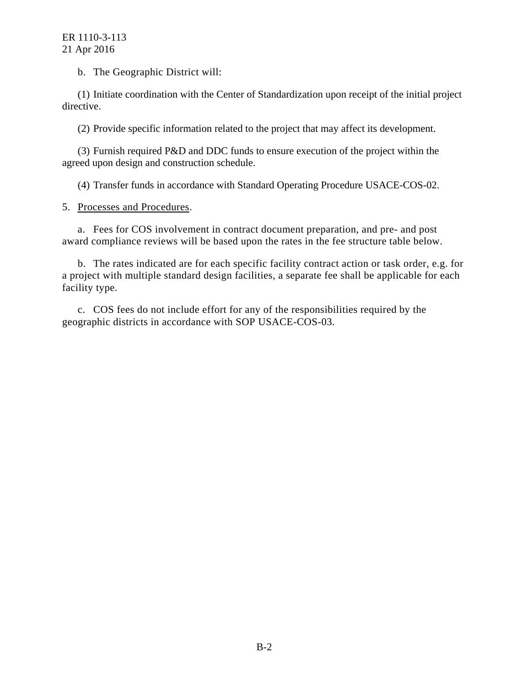<span id="page-19-0"></span>b. The Geographic District will:

(1) Initiate coordination with the Center of Standardization upon receipt of the initial project directive.

(2) Provide specific information related to the project that may affect its development.

(3) Furnish required P&D and DDC funds to ensure execution of the project within the agreed upon design and construction schedule.

(4) Transfer funds in accordance with Standard Operating Procedure USACE-COS-02.

5. Processes and Procedures.

a. Fees for COS involvement in contract document preparation, and pre- and post award compliance reviews will be based upon the rates in the fee structure table below.

b. The rates indicated are for each specific facility contract action or task order, e.g. for a project with multiple standard design facilities, a separate fee shall be applicable for each facility type.

c. COS fees do not include effort for any of the responsibilities required by the geographic districts in accordance with SOP USACE-COS-03.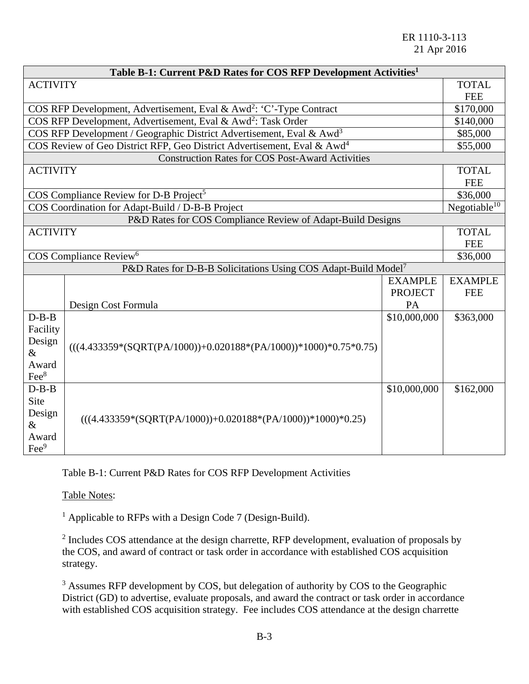| Table B-1: Current P&D Rates for COS RFP Development Activities <sup>1</sup> |                                                                                     |                |                 |
|------------------------------------------------------------------------------|-------------------------------------------------------------------------------------|----------------|-----------------|
| <b>ACTIVITY</b>                                                              |                                                                                     |                |                 |
|                                                                              |                                                                                     |                |                 |
|                                                                              | COS RFP Development, Advertisement, Eval & Awd <sup>2</sup> : 'C'-Type Contract     |                | \$170,000       |
|                                                                              | COS RFP Development, Advertisement, Eval & Awd <sup>2</sup> : Task Order            |                | \$140,000       |
|                                                                              | COS RFP Development / Geographic District Advertisement, Eval & Awd <sup>3</sup>    |                | \$85,000        |
|                                                                              | COS Review of Geo District RFP, Geo District Advertisement, Eval & Awd <sup>4</sup> |                | \$55,000        |
|                                                                              | <b>Construction Rates for COS Post-Award Activities</b>                             |                |                 |
| <b>ACTIVITY</b>                                                              |                                                                                     |                | <b>TOTAL</b>    |
|                                                                              |                                                                                     |                | <b>FEE</b>      |
|                                                                              | COS Compliance Review for D-B Project <sup>5</sup>                                  |                | \$36,000        |
|                                                                              | COS Coordination for Adapt-Build / D-B-B Project                                    |                | Negotiable $10$ |
|                                                                              | P&D Rates for COS Compliance Review of Adapt-Build Designs                          |                |                 |
| <b>ACTIVITY</b>                                                              |                                                                                     |                | <b>TOTAL</b>    |
|                                                                              |                                                                                     |                | <b>FEE</b>      |
|                                                                              | COS Compliance Review <sup>6</sup>                                                  |                | \$36,000        |
|                                                                              | P&D Rates for D-B-B Solicitations Using COS Adapt-Build Model <sup>7</sup>          |                |                 |
|                                                                              |                                                                                     | <b>EXAMPLE</b> | <b>EXAMPLE</b>  |
|                                                                              |                                                                                     | <b>PROJECT</b> | <b>FEE</b>      |
|                                                                              | Design Cost Formula                                                                 | PA             |                 |
| $D-B-B$                                                                      |                                                                                     | \$10,000,000   | \$363,000       |
| Facility                                                                     |                                                                                     |                |                 |
| Design                                                                       | $(((4.433359*(SQRT(PA/1000))+0.020188*(PA/1000))*1000)*0.75*0.75)$                  |                |                 |
| $\&$                                                                         |                                                                                     |                |                 |
| Award                                                                        |                                                                                     |                |                 |
| Fee <sup>8</sup>                                                             |                                                                                     |                |                 |
| $D-B-B$                                                                      |                                                                                     | \$10,000,000   | \$162,000       |
| Site                                                                         |                                                                                     |                |                 |
| Design                                                                       | $(((4.433359*(SORT(PA/1000))+0.020188*(PA/1000))*1000)*0.25)$                       |                |                 |
| $\&$                                                                         |                                                                                     |                |                 |
| Award                                                                        |                                                                                     |                |                 |
| Fee <sup>9</sup>                                                             |                                                                                     |                |                 |

Table B-1: Current P&D Rates for COS RFP Development Activities

Table Notes:

<sup>1</sup> Applicable to RFPs with a Design Code 7 (Design-Build).

<sup>2</sup> Includes COS attendance at the design charrette, RFP development, evaluation of proposals by the COS, and award of contract or task order in accordance with established COS acquisition strategy.

<sup>3</sup> Assumes RFP development by COS, but delegation of authority by COS to the Geographic District (GD) to advertise, evaluate proposals, and award the contract or task order in accordance with established COS acquisition strategy. Fee includes COS attendance at the design charrette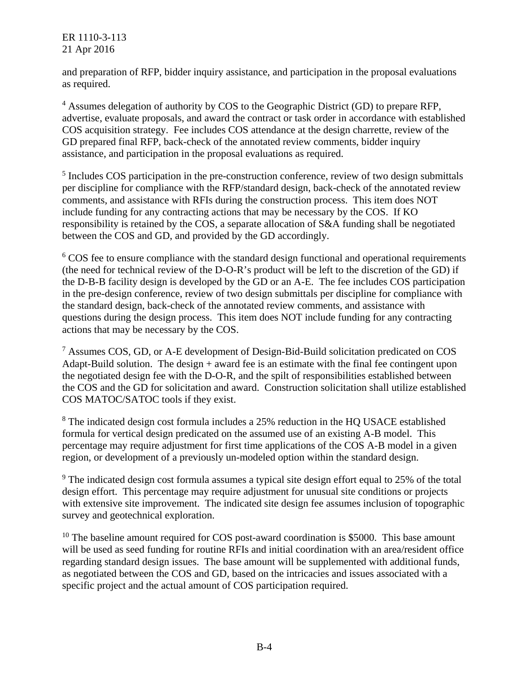and preparation of RFP, bidder inquiry assistance, and participation in the proposal evaluations as required.

<sup>[4](#page-38-0)</sup> Assumes delegation of authority by COS to the Geographic District (GD) to prepare RFP, advertise, evaluate proposals, and award the contract or task order in accordance with established COS acquisition strategy. Fee includes COS attendance at the design charrette, review of the GD prepared final RFP, back-check of the annotated review comments, bidder inquiry assistance, and participation in the proposal evaluations as required.

<sup>5</sup> Includes COS participation in the pre-construction conference, review of two design submittals per discipline for compliance with the RFP/standard design, back-check of the annotated review comments, and assistance with RFIs during the construction process. This item does NOT include funding for any contracting actions that may be necessary by the COS. If KO responsibility is retained by the COS, a separate allocation of S&A funding shall be negotiated between the COS and GD, and provided by the GD accordingly.

<sup>6</sup> COS fee to ensure compliance with the standard design functional and operational requirements (the need for technical review of the D-O-R's product will be left to the discretion of the GD) if the D-B-B facility design is developed by the GD or an A-E. The fee includes COS participation in the pre-design conference, review of two design submittals per discipline for compliance with the standard design, back-check of the annotated review comments, and assistance with questions during the design process. This item does NOT include funding for any contracting actions that may be necessary by the COS.

<sup>7</sup> Assumes COS, GD, or A-E development of Design-Bid-Build solicitation predicated on COS Adapt-Build solution. The design + award fee is an estimate with the final fee contingent upon the negotiated design fee with the D-O-R, and the spilt of responsibilities established between the COS and the GD for solicitation and award. Construction solicitation shall utilize established COS MATOC/SATOC tools if they exist.

<sup>8</sup> The indicated design cost formula includes a 25% reduction in the HQ USACE established formula for vertical design predicated on the assumed use of an existing A-B model. This percentage may require adjustment for first time applications of the COS A-B model in a given region, or development of a previously un-modeled option within the standard design.

<sup>9</sup> The indicated design cost formula assumes a typical site design effort equal to 25% of the total design effort. This percentage may require adjustment for unusual site conditions or projects with extensive site improvement. The indicated site design fee assumes inclusion of topographic survey and geotechnical exploration.

 $10$  The baseline amount required for COS post-award coordination is \$5000. This base amount will be used as seed funding for routine RFIs and initial coordination with an area/resident office regarding standard design issues. The base amount will be supplemented with additional funds, as negotiated between the COS and GD, based on the intricacies and issues associated with a specific project and the actual amount of COS participation required.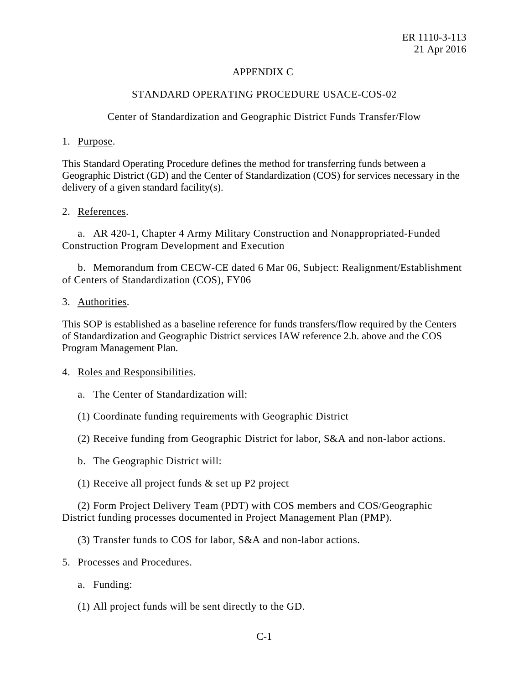# APPENDIX C

#### STANDARD OPERATING PROCEDURE USACE-COS-02

## Center of Standardization and Geographic District Funds Transfer/Flow

#### <span id="page-22-0"></span>1. Purpose.

This Standard Operating Procedure defines the method for transferring funds between a Geographic District (GD) and the Center of Standardization (COS) for services necessary in the delivery of a given standard facility(s).

#### 2. References.

a. AR 420-1, Chapter 4 Army Military Construction and Nonappropriated-Funded Construction Program Development and Execution

b. Memorandum from CECW-CE dated 6 Mar 06, Subject: Realignment/Establishment of Centers of Standardization (COS), FY06

#### 3. Authorities.

This SOP is established as a baseline reference for funds transfers/flow required by the Centers of Standardization and Geographic District services IAW reference 2.b. above and the COS Program Management Plan.

#### 4. Roles and Responsibilities.

- a. The Center of Standardization will:
- (1) Coordinate funding requirements with Geographic District
- (2) Receive funding from Geographic District for labor, S&A and non-labor actions.
- b. The Geographic District will:
- (1) Receive all project funds & set up P2 project

(2) Form Project Delivery Team (PDT) with COS members and COS/Geographic District funding processes documented in Project Management Plan (PMP).

(3) Transfer funds to COS for labor, S&A and non-labor actions.

#### 5. Processes and Procedures.

- a. Funding:
- (1) All project funds will be sent directly to the GD.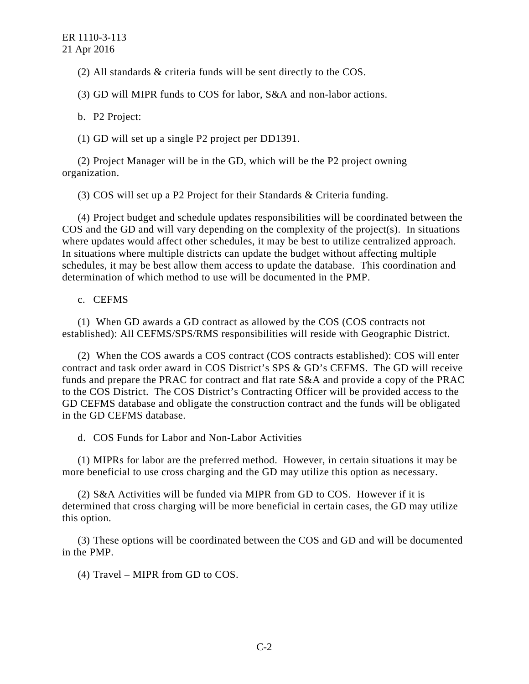(2) All standards & criteria funds will be sent directly to the COS.

(3) GD will MIPR funds to COS for labor, S&A and non-labor actions.

b. P2 Project:

(1) GD will set up a single P2 project per DD1391.

(2) Project Manager will be in the GD, which will be the P2 project owning organization.

(3) COS will set up a P2 Project for their Standards & Criteria funding.

(4) Project budget and schedule updates responsibilities will be coordinated between the COS and the GD and will vary depending on the complexity of the project(s). In situations where updates would affect other schedules, it may be best to utilize centralized approach. In situations where multiple districts can update the budget without affecting multiple schedules, it may be best allow them access to update the database. This coordination and determination of which method to use will be documented in the PMP.

#### c. CEFMS

(1) When GD awards a GD contract as allowed by the COS (COS contracts not established): All CEFMS/SPS/RMS responsibilities will reside with Geographic District.

(2) When the COS awards a COS contract (COS contracts established): COS will enter contract and task order award in COS District's SPS & GD's CEFMS. The GD will receive funds and prepare the PRAC for contract and flat rate S&A and provide a copy of the PRAC to the COS District. The COS District's Contracting Officer will be provided access to the GD CEFMS database and obligate the construction contract and the funds will be obligated in the GD CEFMS database.

d. COS Funds for Labor and Non-Labor Activities

(1) MIPRs for labor are the preferred method. However, in certain situations it may be more beneficial to use cross charging and the GD may utilize this option as necessary.

(2) S&A Activities will be funded via MIPR from GD to COS. However if it is determined that cross charging will be more beneficial in certain cases, the GD may utilize this option.

(3) These options will be coordinated between the COS and GD and will be documented in the PMP.

(4) Travel – MIPR from GD to COS.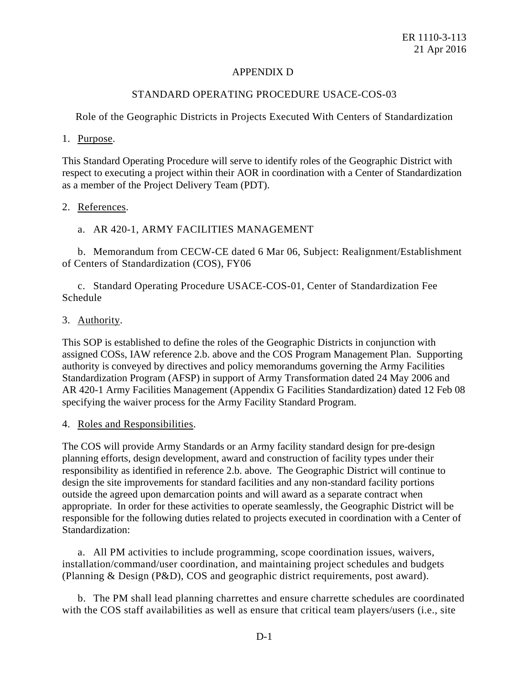# APPENDIX D

# STANDARD OPERATING PROCEDURE USACE-COS-03

<span id="page-24-0"></span>Role of the Geographic Districts in Projects Executed With Centers of Standardization

1. Purpose.

This Standard Operating Procedure will serve to identify roles of the Geographic District with respect to executing a project within their AOR in coordination with a Center of Standardization as a member of the Project Delivery Team (PDT).

#### 2. References.

# a. AR 420-1, ARMY FACILITIES MANAGEMENT

b. Memorandum from CECW-CE dated 6 Mar 06, Subject: Realignment/Establishment of Centers of Standardization (COS), FY06

c. Standard Operating Procedure USACE-COS-01, Center of Standardization Fee Schedule

3. Authority.

This SOP is established to define the roles of the Geographic Districts in conjunction with assigned COSs, IAW reference 2.b. above and the COS Program Management Plan. Supporting authority is conveyed by directives and policy memorandums governing the Army Facilities Standardization Program (AFSP) in support of Army Transformation dated 24 May 2006 and AR 420-1 Army Facilities Management (Appendix G Facilities Standardization) dated 12 Feb 08 specifying the waiver process for the Army Facility Standard Program.

#### 4. Roles and Responsibilities.

The COS will provide Army Standards or an Army facility standard design for pre-design planning efforts, design development, award and construction of facility types under their responsibility as identified in reference 2.b. above. The Geographic District will continue to design the site improvements for standard facilities and any non-standard facility portions outside the agreed upon demarcation points and will award as a separate contract when appropriate. In order for these activities to operate seamlessly, the Geographic District will be responsible for the following duties related to projects executed in coordination with a Center of Standardization:

a. All PM activities to include programming, scope coordination issues, waivers, installation/command/user coordination, and maintaining project schedules and budgets (Planning & Design (P&D), COS and geographic district requirements, post award).

b. The PM shall lead planning charrettes and ensure charrette schedules are coordinated with the COS staff availabilities as well as ensure that critical team players/users (i.e., site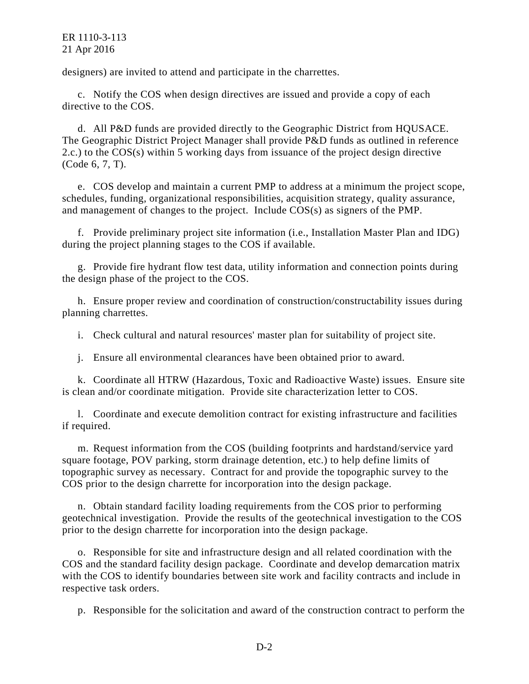designers) are invited to attend and participate in the charrettes.

c. Notify the COS when design directives are issued and provide a copy of each directive to the COS.

d. All P&D funds are provided directly to the Geographic District from HQUSACE. The Geographic District Project Manager shall provide P&D funds as outlined in reference. 2.c.) to the COS(s) within 5 working days from issuance of the project design directive (Code 6, 7, T).

e. COS develop and maintain a current PMP to address at a minimum the project scope, schedules, funding, organizational responsibilities, acquisition strategy, quality assurance, and management of changes to the project. Include COS(s) as signers of the PMP.

f. Provide preliminary project site information (i.e., Installation Master Plan and IDG) during the project planning stages to the COS if available.

g. Provide fire hydrant flow test data, utility information and connection points during the design phase of the project to the COS.

h. Ensure proper review and coordination of construction/constructability issues during planning charrettes.

i. Check cultural and natural resources' master plan for suitability of project site.

j. Ensure all environmental clearances have been obtained prior to award.

k. Coordinate all HTRW (Hazardous, Toxic and Radioactive Waste) issues. Ensure site is clean and/or coordinate mitigation. Provide site characterization letter to COS.

l. Coordinate and execute demolition contract for existing infrastructure and facilities if required.

m. Request information from the COS (building footprints and hardstand/service yard square footage, POV parking, storm drainage detention, etc.) to help define limits of topographic survey as necessary. Contract for and provide the topographic survey to the COS prior to the design charrette for incorporation into the design package.

n. Obtain standard facility loading requirements from the COS prior to performing geotechnical investigation. Provide the results of the geotechnical investigation to the COS prior to the design charrette for incorporation into the design package.

o. Responsible for site and infrastructure design and all related coordination with the COS and the standard facility design package. Coordinate and develop demarcation matrix with the COS to identify boundaries between site work and facility contracts and include in respective task orders.

p. Responsible for the solicitation and award of the construction contract to perform the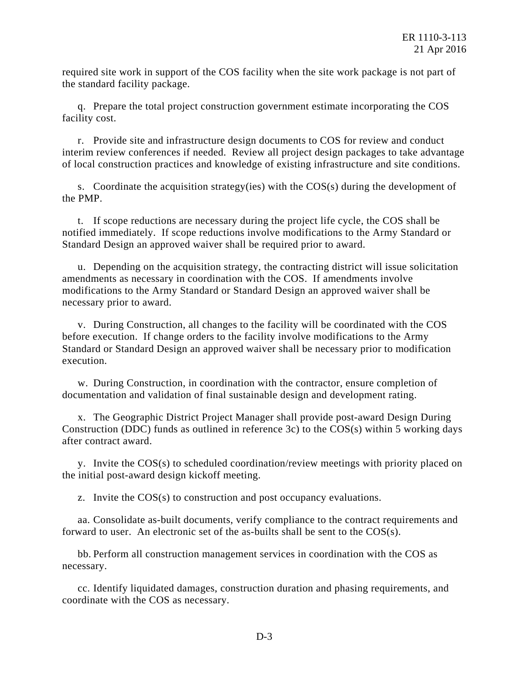required site work in support of the COS facility when the site work package is not part of the standard facility package.

q. Prepare the total project construction government estimate incorporating the COS facility cost.

r. Provide site and infrastructure design documents to COS for review and conduct interim review conferences if needed. Review all project design packages to take advantage of local construction practices and knowledge of existing infrastructure and site conditions.

s. Coordinate the acquisition strategy(ies) with the COS(s) during the development of the PMP.

t. If scope reductions are necessary during the project life cycle, the COS shall be notified immediately. If scope reductions involve modifications to the Army Standard or Standard Design an approved waiver shall be required prior to award.

u. Depending on the acquisition strategy, the contracting district will issue solicitation amendments as necessary in coordination with the COS. If amendments involve modifications to the Army Standard or Standard Design an approved waiver shall be necessary prior to award.

v. During Construction, all changes to the facility will be coordinated with the COS before execution. If change orders to the facility involve modifications to the Army Standard or Standard Design an approved waiver shall be necessary prior to modification execution.

w. During Construction, in coordination with the contractor, ensure completion of documentation and validation of final sustainable design and development rating.

x. The Geographic District Project Manager shall provide post-award Design During Construction (DDC) funds as outlined in reference 3c) to the COS(s) within 5 working days after contract award.

y. Invite the COS(s) to scheduled coordination/review meetings with priority placed on the initial post-award design kickoff meeting.

z. Invite the COS(s) to construction and post occupancy evaluations.

aa. Consolidate as-built documents, verify compliance to the contract requirements and forward to user. An electronic set of the as-builts shall be sent to the COS(s).

bb. Perform all construction management services in coordination with the COS as necessary.

cc. Identify liquidated damages, construction duration and phasing requirements, and coordinate with the COS as necessary.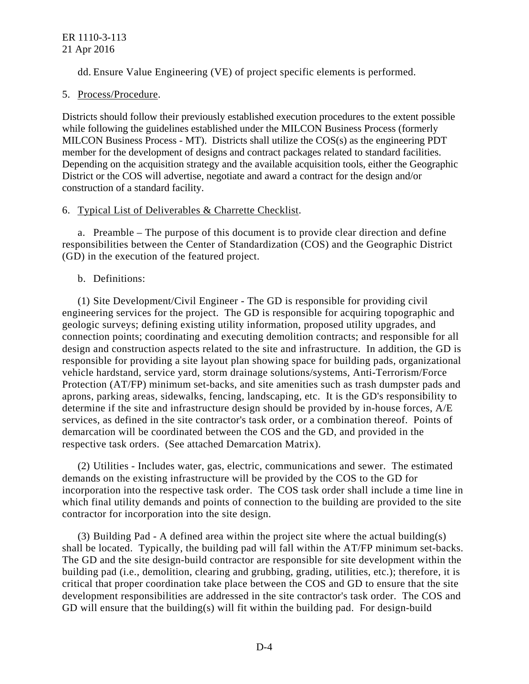<span id="page-27-0"></span>dd. Ensure Value Engineering (VE) of project specific elements is performed.

#### 5. Process/Procedure.

Districts should follow their previously established execution procedures to the extent possible while following the guidelines established under the MILCON Business Process (formerly MILCON Business Process - MT). Districts shall utilize the COS(s) as the engineering PDT member for the development of designs and contract packages related to standard facilities. Depending on the acquisition strategy and the available acquisition tools, either the Geographic District or the COS will advertise, negotiate and award a contract for the design and/or construction of a standard facility.

#### 6. Typical List of Deliverables & Charrette Checklist.

a. Preamble – The purpose of this document is to provide clear direction and define responsibilities between the Center of Standardization (COS) and the Geographic District (GD) in the execution of the featured project.

#### b. Definitions:

(1) Site Development/Civil Engineer - The GD is responsible for providing civil engineering services for the project. The GD is responsible for acquiring topographic and geologic surveys; defining existing utility information, proposed utility upgrades, and connection points; coordinating and executing demolition contracts; and responsible for all design and construction aspects related to the site and infrastructure. In addition, the GD is responsible for providing a site layout plan showing space for building pads, organizational vehicle hardstand, service yard, storm drainage solutions/systems, Anti-Terrorism/Force Protection (AT/FP) minimum set-backs, and site amenities such as trash dumpster pads and aprons, parking areas, sidewalks, fencing, landscaping, etc. It is the GD's responsibility to determine if the site and infrastructure design should be provided by in-house forces, A/E services, as defined in the site contractor's task order, or a combination thereof. Points of demarcation will be coordinated between the COS and the GD, and provided in the respective task orders. (See attached Demarcation Matrix).

(2) Utilities - Includes water, gas, electric, communications and sewer. The estimated demands on the existing infrastructure will be provided by the COS to the GD for incorporation into the respective task order. The COS task order shall include a time line in which final utility demands and points of connection to the building are provided to the site contractor for incorporation into the site design.

(3) Building Pad - A defined area within the project site where the actual building(s) shall be located. Typically, the building pad will fall within the AT/FP minimum set-backs. The GD and the site design-build contractor are responsible for site development within the building pad (i.e., demolition, clearing and grubbing, grading, utilities, etc.); therefore, it is critical that proper coordination take place between the COS and GD to ensure that the site development responsibilities are addressed in the site contractor's task order. The COS and GD will ensure that the building(s) will fit within the building pad. For design-build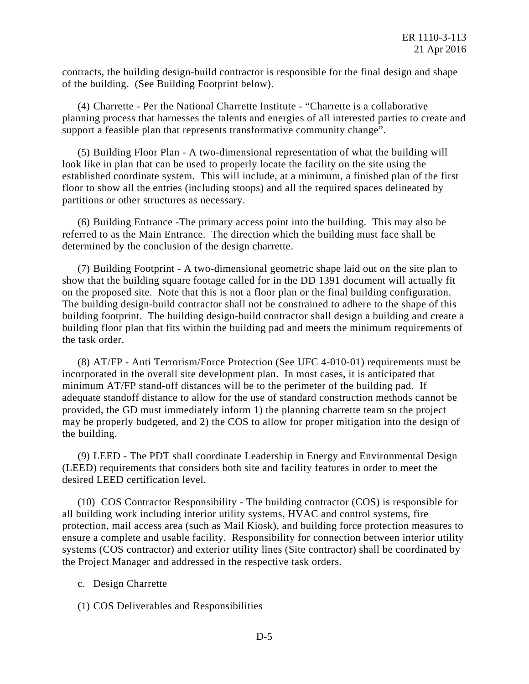contracts, the building design-build contractor is responsible for the final design and shape of the building. (See Building Footprint below).

(4) Charrette - Per the National Charrette Institute - "Charrette is a collaborative planning process that harnesses the talents and energies of all interested parties to create and support a feasible plan that represents transformative community change".

(5) Building Floor Plan - A two-dimensional representation of what the building will look like in plan that can be used to properly locate the facility on the site using the established coordinate system. This will include, at a minimum, a finished plan of the first floor to show all the entries (including stoops) and all the required spaces delineated by partitions or other structures as necessary.

(6) Building Entrance -The primary access point into the building. This may also be referred to as the Main Entrance. The direction which the building must face shall be determined by the conclusion of the design charrette.

(7) Building Footprint - A two-dimensional geometric shape laid out on the site plan to show that the building square footage called for in the DD 1391 document will actually fit on the proposed site. Note that this is not a floor plan or the final building configuration. The building design-build contractor shall not be constrained to adhere to the shape of this building footprint. The building design-build contractor shall design a building and create a building floor plan that fits within the building pad and meets the minimum requirements of the task order.

(8) AT/FP - Anti Terrorism/Force Protection (See UFC 4-010-01) requirements must be incorporated in the overall site development plan. In most cases, it is anticipated that minimum AT/FP stand-off distances will be to the perimeter of the building pad. If adequate standoff distance to allow for the use of standard construction methods cannot be provided, the GD must immediately inform 1) the planning charrette team so the project may be properly budgeted, and 2) the COS to allow for proper mitigation into the design of the building.

(9) LEED - The PDT shall coordinate Leadership in Energy and Environmental Design (LEED) requirements that considers both site and facility features in order to meet the desired LEED certification level.

(10) COS Contractor Responsibility - The building contractor (COS) is responsible for all building work including interior utility systems, HVAC and control systems, fire protection, mail access area (such as Mail Kiosk), and building force protection measures to ensure a complete and usable facility. Responsibility for connection between interior utility systems (COS contractor) and exterior utility lines (Site contractor) shall be coordinated by the Project Manager and addressed in the respective task orders.

#### c. Design Charrette

(1) COS Deliverables and Responsibilities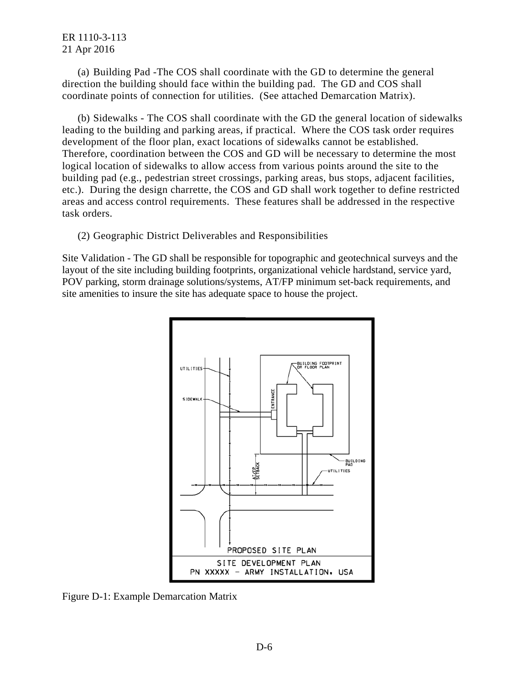# ER 1110-3-113 21 Apr 2016

(a) Building Pad -The COS shall coordinate with the GD to determine the general direction the building should face within the building pad. The GD and COS shall coordinate points of connection for utilities. (See attached Demarcation Matrix).

(b) Sidewalks - The COS shall coordinate with the GD the general location of sidewalks leading to the building and parking areas, if practical. Where the COS task order requires development of the floor plan, exact locations of sidewalks cannot be established. Therefore, coordination between the COS and GD will be necessary to determine the most logical location of sidewalks to allow access from various points around the site to the building pad (e.g., pedestrian street crossings, parking areas, bus stops, adjacent facilities, etc.). During the design charrette, the COS and GD shall work together to define restricted areas and access control requirements. These features shall be addressed in the respective task orders.

#### (2) Geographic District Deliverables and Responsibilities

Site Validation - The GD shall be responsible for topographic and geotechnical surveys and the layout of the site including building footprints, organizational vehicle hardstand, service yard, POV parking, storm drainage solutions/systems, AT/FP minimum set-back requirements, and site amenities to insure the site has adequate space to house the project.



Figure D-1: Example Demarcation Matrix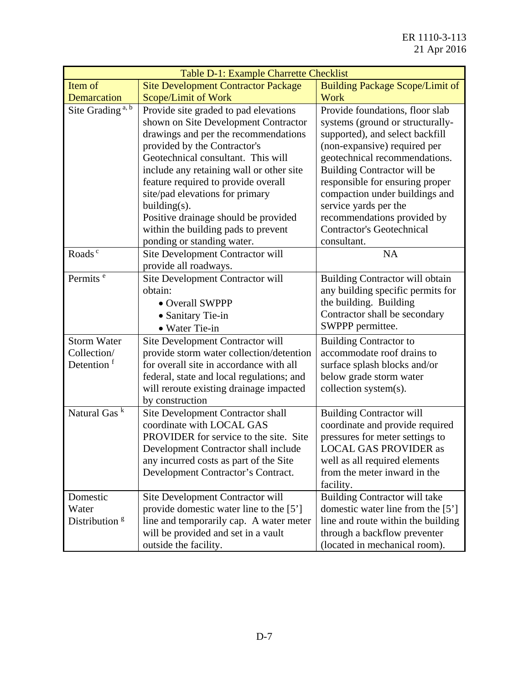| Table D-1: Example Charrette Checklist |                                            |                                                               |  |
|----------------------------------------|--------------------------------------------|---------------------------------------------------------------|--|
| Item of                                | <b>Site Development Contractor Package</b> | <b>Building Package Scope/Limit of</b>                        |  |
| Demarcation                            | Scope/Limit of Work                        | Work                                                          |  |
| Site Grading <sup>a, b</sup>           | Provide site graded to pad elevations      | Provide foundations, floor slab                               |  |
|                                        | shown on Site Development Contractor       | systems (ground or structurally-                              |  |
|                                        | drawings and per the recommendations       | supported), and select backfill                               |  |
|                                        | provided by the Contractor's               | (non-expansive) required per                                  |  |
|                                        | Geotechnical consultant. This will         | geotechnical recommendations.                                 |  |
|                                        | include any retaining wall or other site   | Building Contractor will be                                   |  |
|                                        | feature required to provide overall        | responsible for ensuring proper                               |  |
|                                        | site/pad elevations for primary            | compaction under buildings and                                |  |
|                                        | $building(s)$ .                            | service yards per the                                         |  |
|                                        | Positive drainage should be provided       | recommendations provided by                                   |  |
|                                        | within the building pads to prevent        | <b>Contractor's Geotechnical</b>                              |  |
|                                        | ponding or standing water.                 | consultant.                                                   |  |
| Roads <sup>c</sup>                     | Site Development Contractor will           | <b>NA</b>                                                     |  |
|                                        | provide all roadways.                      |                                                               |  |
| Permits <sup>e</sup>                   | Site Development Contractor will           | <b>Building Contractor will obtain</b>                        |  |
|                                        | obtain:                                    | any building specific permits for                             |  |
|                                        | • Overall SWPPP                            | the building. Building                                        |  |
|                                        | • Sanitary Tie-in                          | Contractor shall be secondary                                 |  |
|                                        | • Water Tie-in                             | SWPPP permittee.                                              |  |
| <b>Storm Water</b>                     | Site Development Contractor will           | <b>Building Contractor to</b>                                 |  |
| Collection/                            | provide storm water collection/detention   | accommodate roof drains to                                    |  |
| Detention <sup>f</sup>                 | for overall site in accordance with all    | surface splash blocks and/or                                  |  |
|                                        | federal, state and local regulations; and  | below grade storm water                                       |  |
|                                        | will reroute existing drainage impacted    | collection system(s).                                         |  |
|                                        | by construction                            |                                                               |  |
| Natural Gas <sup>k</sup>               | Site Development Contractor shall          | <b>Building Contractor will</b>                               |  |
|                                        | coordinate with LOCAL GAS                  | coordinate and provide required                               |  |
|                                        | PROVIDER for service to the site. Site     | pressures for meter settings to                               |  |
|                                        | Development Contractor shall include       | <b>LOCAL GAS PROVIDER as</b>                                  |  |
|                                        | any incurred costs as part of the Site     | well as all required elements<br>from the meter inward in the |  |
|                                        | Development Contractor's Contract.         | facility.                                                     |  |
| Domestic                               | Site Development Contractor will           | <b>Building Contractor will take</b>                          |  |
| Water                                  | provide domestic water line to the [5']    | domestic water line from the [5']                             |  |
| Distribution <sup>g</sup>              | line and temporarily cap. A water meter    | line and route within the building                            |  |
|                                        | will be provided and set in a vault        | through a backflow preventer                                  |  |
|                                        | outside the facility.                      | (located in mechanical room).                                 |  |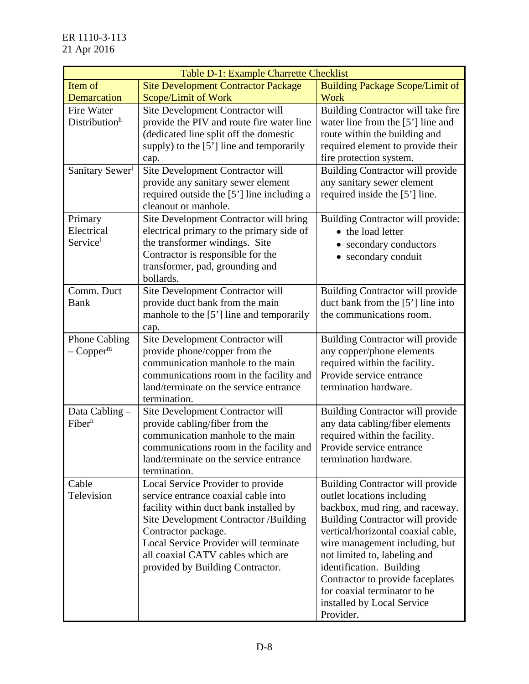| Table D-1: Example Charrette Checklist |                                                                     |                                                                  |  |
|----------------------------------------|---------------------------------------------------------------------|------------------------------------------------------------------|--|
| Item of                                | <b>Site Development Contractor Package</b>                          | <b>Building Package Scope/Limit of</b>                           |  |
| Demarcation                            | Scope/Limit of Work                                                 | Work                                                             |  |
| Fire Water                             | Site Development Contractor will                                    | Building Contractor will take fire                               |  |
| Distribution <sup>h</sup>              | provide the PIV and route fire water line                           | water line from the $[5']$ line and                              |  |
|                                        | (dedicated line split off the domestic                              | route within the building and                                    |  |
|                                        | supply) to the [5'] line and temporarily                            | required element to provide their                                |  |
|                                        | cap.                                                                | fire protection system.                                          |  |
| Sanitary Sewer                         | Site Development Contractor will                                    | <b>Building Contractor will provide</b>                          |  |
|                                        | provide any sanitary sewer element                                  | any sanitary sewer element                                       |  |
|                                        | required outside the [5'] line including a                          | required inside the [5'] line.                                   |  |
|                                        | cleanout or manhole.                                                |                                                                  |  |
| Primary                                | Site Development Contractor will bring                              | Building Contractor will provide:                                |  |
| Electrical                             | electrical primary to the primary side of                           | • the load letter                                                |  |
| Service <sup>l</sup>                   | the transformer windings. Site                                      | • secondary conductors                                           |  |
|                                        | Contractor is responsible for the                                   | • secondary conduit                                              |  |
|                                        | transformer, pad, grounding and                                     |                                                                  |  |
|                                        | bollards.                                                           |                                                                  |  |
| Comm. Duct                             | Site Development Contractor will                                    | <b>Building Contractor will provide</b>                          |  |
| <b>Bank</b>                            | provide duct bank from the main                                     | duct bank from the [5'] line into                                |  |
|                                        | manhole to the [5'] line and temporarily                            | the communications room.                                         |  |
|                                        | cap.                                                                |                                                                  |  |
| <b>Phone Cabling</b>                   | Site Development Contractor will                                    | <b>Building Contractor will provide</b>                          |  |
| $-Copperm$                             | provide phone/copper from the                                       | any copper/phone elements                                        |  |
|                                        | communication manhole to the main                                   | required within the facility.                                    |  |
|                                        | communications room in the facility and                             | Provide service entrance                                         |  |
|                                        | land/terminate on the service entrance                              | termination hardware.                                            |  |
|                                        | termination.                                                        |                                                                  |  |
| Data Cabling -<br>Fiber <sup>n</sup>   | Site Development Contractor will                                    | <b>Building Contractor will provide</b>                          |  |
|                                        | provide cabling/fiber from the<br>communication manhole to the main | any data cabling/fiber elements<br>required within the facility. |  |
|                                        | communications room in the facility and                             | Provide service entrance                                         |  |
|                                        | land/terminate on the service entrance                              | termination hardware.                                            |  |
|                                        | termination.                                                        |                                                                  |  |
| Cable                                  | Local Service Provider to provide                                   | <b>Building Contractor will provide</b>                          |  |
| Television                             | service entrance coaxial cable into                                 | outlet locations including                                       |  |
|                                        | facility within duct bank installed by                              | backbox, mud ring, and raceway.                                  |  |
|                                        | Site Development Contractor /Building                               | Building Contractor will provide                                 |  |
|                                        | Contractor package.                                                 | vertical/horizontal coaxial cable,                               |  |
|                                        | Local Service Provider will terminate                               | wire management including, but                                   |  |
|                                        | all coaxial CATV cables which are                                   | not limited to, labeling and                                     |  |
|                                        | provided by Building Contractor.                                    | identification. Building                                         |  |
|                                        |                                                                     | Contractor to provide faceplates                                 |  |
|                                        |                                                                     | for coaxial terminator to be                                     |  |
|                                        |                                                                     | installed by Local Service                                       |  |
|                                        |                                                                     | Provider.                                                        |  |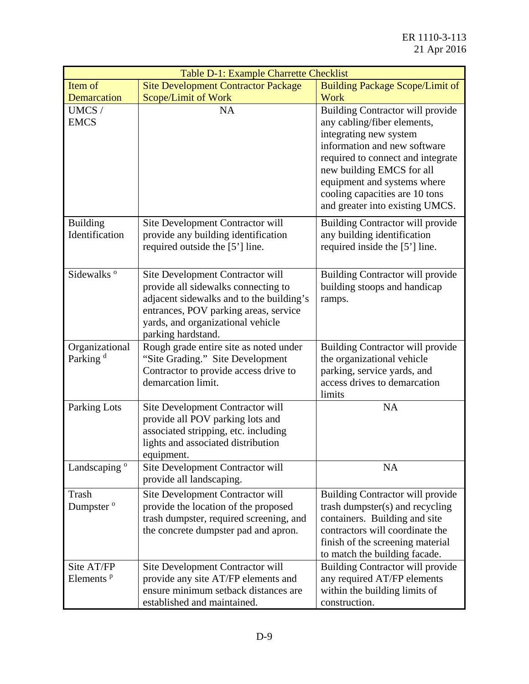| Table D-1: Example Charrette Checklist |                                                                                                                                                                                                                         |                                                                                                                                                                                                                                                                                                 |  |
|----------------------------------------|-------------------------------------------------------------------------------------------------------------------------------------------------------------------------------------------------------------------------|-------------------------------------------------------------------------------------------------------------------------------------------------------------------------------------------------------------------------------------------------------------------------------------------------|--|
| Item of                                | <b>Site Development Contractor Package</b>                                                                                                                                                                              | <b>Building Package Scope/Limit of</b>                                                                                                                                                                                                                                                          |  |
| Demarcation                            | Scope/Limit of Work                                                                                                                                                                                                     | Work                                                                                                                                                                                                                                                                                            |  |
| UMCS /<br><b>EMCS</b>                  | <b>NA</b>                                                                                                                                                                                                               | Building Contractor will provide<br>any cabling/fiber elements,<br>integrating new system<br>information and new software<br>required to connect and integrate<br>new building EMCS for all<br>equipment and systems where<br>cooling capacities are 10 tons<br>and greater into existing UMCS. |  |
| <b>Building</b><br>Identification      | Site Development Contractor will<br>provide any building identification<br>required outside the [5'] line.                                                                                                              | <b>Building Contractor will provide</b><br>any building identification<br>required inside the [5'] line.                                                                                                                                                                                        |  |
| Sidewalks <sup>o</sup>                 | Site Development Contractor will<br>provide all sidewalks connecting to<br>adjacent sidewalks and to the building's<br>entrances, POV parking areas, service<br>yards, and organizational vehicle<br>parking hardstand. | <b>Building Contractor will provide</b><br>building stoops and handicap<br>ramps.                                                                                                                                                                                                               |  |
| Organizational<br>Parking <sup>d</sup> | Rough grade entire site as noted under<br>"Site Grading." Site Development<br>Contractor to provide access drive to<br>demarcation limit.                                                                               | Building Contractor will provide<br>the organizational vehicle<br>parking, service yards, and<br>access drives to demarcation<br>limits                                                                                                                                                         |  |
| Parking Lots                           | Site Development Contractor will<br>provide all POV parking lots and<br>associated stripping, etc. including<br>lights and associated distribution<br>equipment.                                                        | <b>NA</b>                                                                                                                                                                                                                                                                                       |  |
| Landscaping <sup>o</sup>               | Site Development Contractor will<br>provide all landscaping.                                                                                                                                                            | <b>NA</b>                                                                                                                                                                                                                                                                                       |  |
| Trash<br>Dumpster <sup>o</sup>         | Site Development Contractor will<br>provide the location of the proposed<br>trash dumpster, required screening, and<br>the concrete dumpster pad and apron.                                                             | <b>Building Contractor will provide</b><br>trash dumpster(s) and recycling<br>containers. Building and site<br>contractors will coordinate the<br>finish of the screening material<br>to match the building facade.                                                                             |  |
| Site AT/FP<br>Elements <sup>p</sup>    | Site Development Contractor will<br>provide any site AT/FP elements and<br>ensure minimum setback distances are<br>established and maintained.                                                                          | Building Contractor will provide<br>any required AT/FP elements<br>within the building limits of<br>construction.                                                                                                                                                                               |  |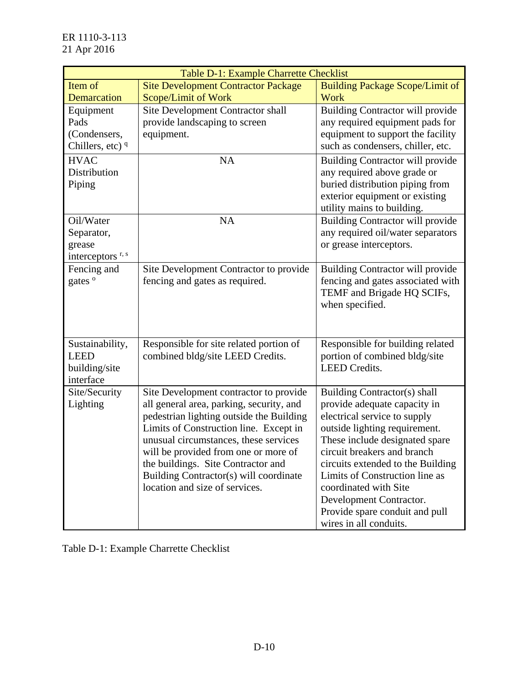| Table D-1: Example Charrette Checklist                                                                          |  |
|-----------------------------------------------------------------------------------------------------------------|--|
| <b>Site Development Contractor Package</b><br><b>Building Package Scope/Limit of</b><br>Item of                 |  |
| Scope/Limit of Work<br>Demarcation<br>Work                                                                      |  |
| Site Development Contractor shall<br><b>Building Contractor will provide</b><br>Equipment                       |  |
| any required equipment pads for<br>Pads<br>provide landscaping to screen                                        |  |
| equipment.<br>equipment to support the facility<br>(Condensers,                                                 |  |
| Chillers, etc) $q$<br>such as condensers, chiller, etc.                                                         |  |
| <b>NA</b><br><b>HVAC</b><br><b>Building Contractor will provide</b>                                             |  |
| Distribution<br>any required above grade or                                                                     |  |
| buried distribution piping from<br>Piping                                                                       |  |
| exterior equipment or existing                                                                                  |  |
| utility mains to building.                                                                                      |  |
| <b>NA</b><br>Building Contractor will provide<br>Oil/Water                                                      |  |
| any required oil/water separators<br>Separator,                                                                 |  |
| or grease interceptors.<br>grease                                                                               |  |
| interceptors <sup>r, s</sup>                                                                                    |  |
| Fencing and<br>Site Development Contractor to provide<br><b>Building Contractor will provide</b>                |  |
| gates <sup>o</sup><br>fencing and gates associated with<br>fencing and gates as required.                       |  |
| TEMF and Brigade HQ SCIFs,                                                                                      |  |
| when specified.                                                                                                 |  |
|                                                                                                                 |  |
|                                                                                                                 |  |
| Responsible for site related portion of<br>Sustainability,<br>Responsible for building related                  |  |
| portion of combined bldg/site<br><b>LEED</b><br>combined bldg/site LEED Credits.                                |  |
| <b>LEED</b> Credits.<br>building/site                                                                           |  |
| interface                                                                                                       |  |
| Site/Security<br>Site Development contractor to provide<br>Building Contractor(s) shall                         |  |
| Lighting<br>all general area, parking, security, and<br>provide adequate capacity in                            |  |
| pedestrian lighting outside the Building<br>electrical service to supply                                        |  |
| Limits of Construction line. Except in<br>outside lighting requirement.                                         |  |
| unusual circumstances, these services<br>These include designated spare<br>circuit breakers and branch          |  |
| will be provided from one or more of<br>the buildings. Site Contractor and<br>circuits extended to the Building |  |
| Building Contractor(s) will coordinate<br>Limits of Construction line as                                        |  |
| location and size of services.<br>coordinated with Site                                                         |  |
| Development Contractor.                                                                                         |  |
| Provide spare conduit and pull                                                                                  |  |
| wires in all conduits.                                                                                          |  |

Table D-1: Example Charrette Checklist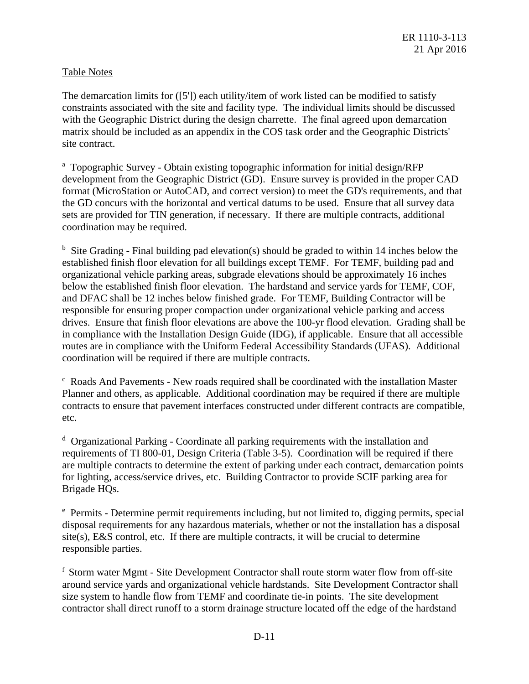# Table Notes

The demarcation limits for ([5']) each utility/item of work listed can be modified to satisfy constraints associated with the site and facility type. The individual limits should be discussed with the Geographic District during the design charrette. The final agreed upon demarcation matrix should be included as an appendix in the COS task order and the Geographic Districts' site contract.

<sup>a</sup> Topographic Survey - Obtain existing topographic information for initial design/RFP development from the Geographic District (GD). Ensure survey is provided in the proper CAD format (MicroStation or AutoCAD, and correct version) to meet the GD's requirements, and that the GD concurs with the horizontal and vertical datums to be used. Ensure that all survey data sets are provided for TIN generation, if necessary. If there are multiple contracts, additional coordination may be required.

 $b$  Site Grading - Final building pad elevation(s) should be graded to within 14 inches below the established finish floor elevation for all buildings except TEMF. For TEMF, building pad and organizational vehicle parking areas, subgrade elevations should be approximately 16 inches below the established finish floor elevation. The hardstand and service yards for TEMF, COF, and DFAC shall be 12 inches below finished grade. For TEMF, Building Contractor will be responsible for ensuring proper compaction under organizational vehicle parking and access drives. Ensure that finish floor elevations are above the 100-yr flood elevation. Grading shall be in compliance with the Installation Design Guide (IDG), if applicable. Ensure that all accessible routes are in compliance with the Uniform Federal Accessibility Standards (UFAS). Additional coordination will be required if there are multiple contracts.

c Roads And Pavements - New roads required shall be coordinated with the installation Master Planner and others, as applicable. Additional coordination may be required if there are multiple contracts to ensure that pavement interfaces constructed under different contracts are compatible, etc.

<sup>d</sup> Organizational Parking - Coordinate all parking requirements with the installation and requirements of TI 800-01, Design Criteria (Table 3-5). Coordination will be required if there are multiple contracts to determine the extent of parking under each contract, demarcation points for lighting, access/service drives, etc. Building Contractor to provide SCIF parking area for Brigade HQs.

e Permits - Determine permit requirements including, but not limited to, digging permits, special disposal requirements for any hazardous materials, whether or not the installation has a disposal  $site(s)$ ,  $E&S$  control, etc. If there are multiple contracts, it will be crucial to determine responsible parties.

f Storm water Mgmt - Site Development Contractor shall route storm water flow from off-site around service yards and organizational vehicle hardstands. Site Development Contractor shall size system to handle flow from TEMF and coordinate tie-in points. The site development contractor shall direct runoff to a storm drainage structure located off the edge of the hardstand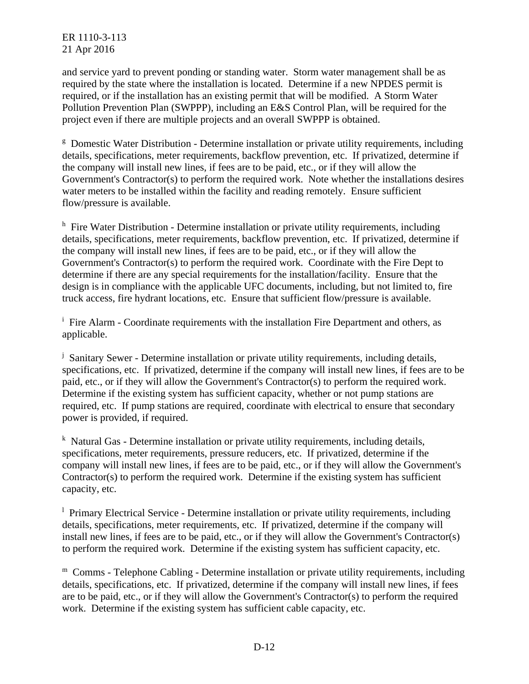and service yard to prevent ponding or standing water. Storm water management shall be as required by the state where the installation is located. Determine if a new NPDES permit is required, or if the installation has an existing permit that will be modified. A Storm Water Pollution Prevention Plan (SWPPP), including an E&S Control Plan, will be required for the project even if there are multiple projects and an overall SWPPP is obtained.

<sup>g</sup> Domestic Water Distribution - Determine installation or private utility requirements, including details, specifications, meter requirements, backflow prevention, etc. If privatized, determine if the company will install new lines, if fees are to be paid, etc., or if they will allow the Government's Contractor(s) to perform the required work. Note whether the installations desires water meters to be installed within the facility and reading remotely. Ensure sufficient flow/pressure is available.

<sup>h</sup> Fire Water Distribution - Determine installation or private utility requirements, including details, specifications, meter requirements, backflow prevention, etc. If privatized, determine if the company will install new lines, if fees are to be paid, etc., or if they will allow the Government's Contractor(s) to perform the required work. Coordinate with the Fire Dept to determine if there are any special requirements for the installation/facility. Ensure that the design is in compliance with the applicable UFC documents, including, but not limited to, fire truck access, fire hydrant locations, etc. Ensure that sufficient flow/pressure is available.

<sup>i</sup> Fire Alarm - Coordinate requirements with the installation Fire Department and others, as applicable.

<sup>j</sup> Sanitary Sewer - Determine installation or private utility requirements, including details, specifications, etc. If privatized, determine if the company will install new lines, if fees are to be paid, etc., or if they will allow the Government's Contractor(s) to perform the required work. Determine if the existing system has sufficient capacity, whether or not pump stations are required, etc. If pump stations are required, coordinate with electrical to ensure that secondary power is provided, if required.

<sup>k</sup> Natural Gas - Determine installation or private utility requirements, including details, specifications, meter requirements, pressure reducers, etc. If privatized, determine if the company will install new lines, if fees are to be paid, etc., or if they will allow the Government's  $Contractor(s)$  to perform the required work. Determine if the existing system has sufficient capacity, etc.

<sup>1</sup> Primary Electrical Service - Determine installation or private utility requirements, including details, specifications, meter requirements, etc. If privatized, determine if the company will install new lines, if fees are to be paid, etc., or if they will allow the Government's Contractor(s) to perform the required work. Determine if the existing system has sufficient capacity, etc.

 $<sup>m</sup>$  Comms - Telephone Cabling - Determine installation or private utility requirements, including</sup> details, specifications, etc. If privatized, determine if the company will install new lines, if fees are to be paid, etc., or if they will allow the Government's Contractor(s) to perform the required work. Determine if the existing system has sufficient cable capacity, etc.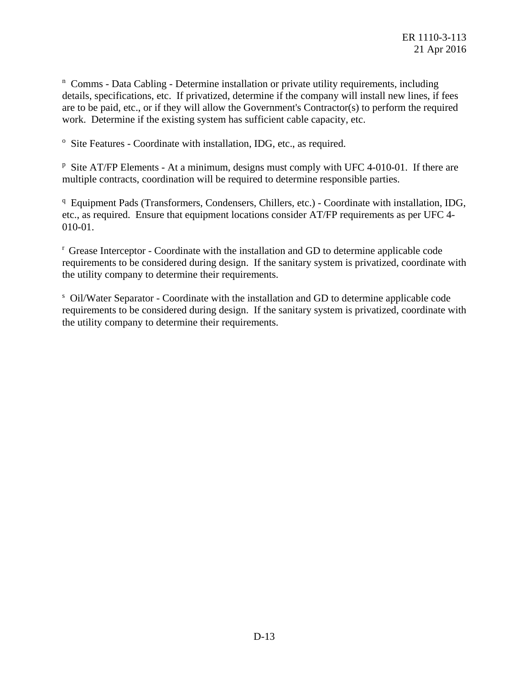<sup>n</sup> Comms - Data Cabling - Determine installation or private utility requirements, including details, specifications, etc. If privatized, determine if the company will install new lines, if fees are to be paid, etc., or if they will allow the Government's Contractor(s) to perform the required work. Determine if the existing system has sufficient cable capacity, etc.

<sup>o</sup> Site Features - Coordinate with installation, IDG, etc., as required.

<sup>p</sup> Site AT/FP Elements - At a minimum, designs must comply with UFC 4-010-01. If there are multiple contracts, coordination will be required to determine responsible parties.

<sup>q</sup> Equipment Pads (Transformers, Condensers, Chillers, etc.) - Coordinate with installation, IDG, etc., as required. Ensure that equipment locations consider AT/FP requirements as per UFC 4- 010-01.

r Grease Interceptor - Coordinate with the installation and GD to determine applicable code requirements to be considered during design. If the sanitary system is privatized, coordinate with the utility company to determine their requirements.

s Oil/Water Separator - Coordinate with the installation and GD to determine applicable code requirements to be considered during design. If the sanitary system is privatized, coordinate with the utility company to determine their requirements.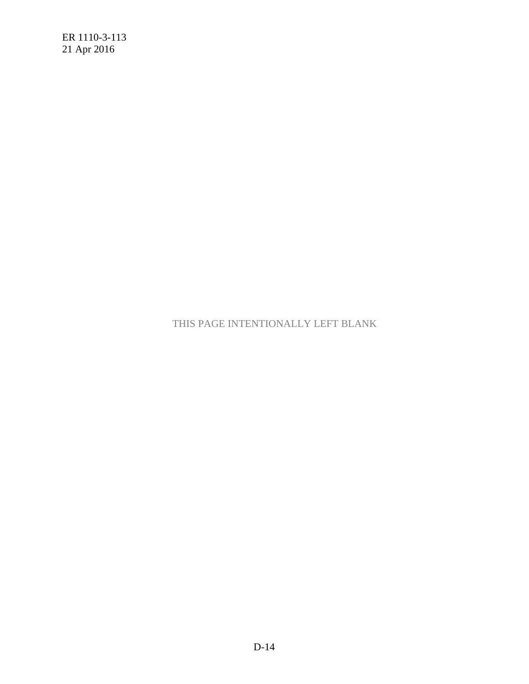ER 1110-3-113 21 Apr 2016

THIS PAGE INTENTIONALLY LEFT BLANK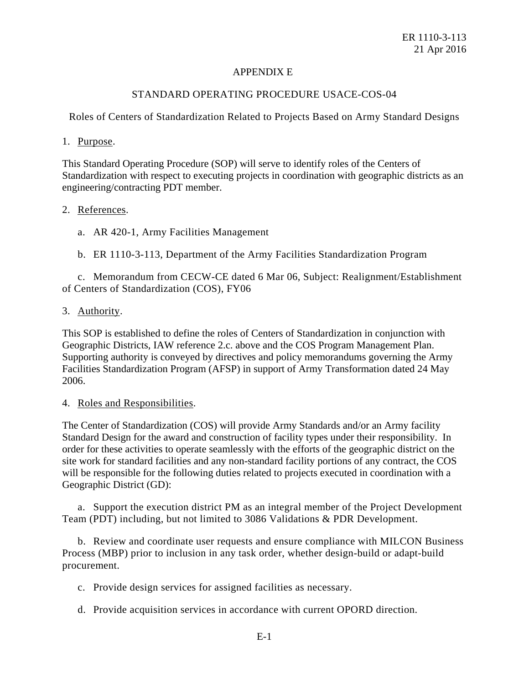# APPENDIX E

# STANDARD OPERATING PROCEDURE USACE-COS-04

<span id="page-38-0"></span>Roles of Centers of Standardization Related to Projects Based on Army Standard Designs

## 1. Purpose.

This Standard Operating Procedure (SOP) will serve to identify roles of the Centers of Standardization with respect to executing projects in coordination with geographic districts as an engineering/contracting PDT member.

# 2. References.

a. AR 420-1, Army Facilities Management

b. ER 1110-3-113, Department of the Army Facilities Standardization Program

c. Memorandum from CECW-CE dated 6 Mar 06, Subject: Realignment/Establishment of Centers of Standardization (COS), FY06

# 3. Authority.

This SOP is established to define the roles of Centers of Standardization in conjunction with Geographic Districts, IAW reference 2.c. above and the COS Program Management Plan. Supporting authority is conveyed by directives and policy memorandums governing the Army Facilities Standardization Program (AFSP) in support of Army Transformation dated 24 May 2006.

#### 4. Roles and Responsibilities.

The Center of Standardization (COS) will provide Army Standards and/or an Army facility Standard Design for the award and construction of facility types under their responsibility. In order for these activities to operate seamlessly with the efforts of the geographic district on the site work for standard facilities and any non-standard facility portions of any contract, the COS will be responsible for the following duties related to projects executed in coordination with a Geographic District (GD):

a. Support the execution district PM as an integral member of the Project Development Team (PDT) including, but not limited to 3086 Validations & PDR Development.

b. Review and coordinate user requests and ensure compliance with MILCON Business Process (MBP) prior to inclusion in any task order, whether design-build or adapt-build procurement.

- c. Provide design services for assigned facilities as necessary.
- d. Provide acquisition services in accordance with current OPORD direction.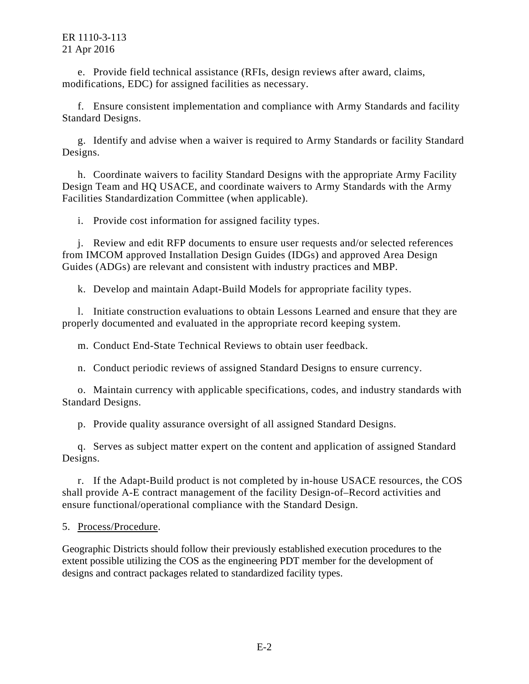<span id="page-39-0"></span>e. Provide field technical assistance (RFIs, design reviews after award, claims, modifications, EDC) for assigned facilities as necessary.

f. Ensure consistent implementation and compliance with Army Standards and facility Standard Designs.

g. Identify and advise when a waiver is required to Army Standards or facility Standard Designs.

h. Coordinate waivers to facility Standard Designs with the appropriate Army Facility Design Team and HQ USACE, and coordinate waivers to Army Standards with the Army Facilities Standardization Committee (when applicable).

i. Provide cost information for assigned facility types.

j. Review and edit RFP documents to ensure user requests and/or selected references from IMCOM approved Installation Design Guides (IDGs) and approved Area Design Guides (ADGs) are relevant and consistent with industry practices and MBP.

k. Develop and maintain Adapt-Build Models for appropriate facility types.

l. Initiate construction evaluations to obtain Lessons Learned and ensure that they are properly documented and evaluated in the appropriate record keeping system.

m. Conduct End-State Technical Reviews to obtain user feedback.

n. Conduct periodic reviews of assigned Standard Designs to ensure currency.

o. Maintain currency with applicable specifications, codes, and industry standards with Standard Designs.

p. Provide quality assurance oversight of all assigned Standard Designs.

q. Serves as subject matter expert on the content and application of assigned Standard Designs.

r. If the Adapt-Build product is not completed by in-house USACE resources, the COS shall provide A-E contract management of the facility Design-of–Record activities and ensure functional/operational compliance with the Standard Design.

5. Process/Procedure.

Geographic Districts should follow their previously established execution procedures to the extent possible utilizing the COS as the engineering PDT member for the development of designs and contract packages related to standardized facility types.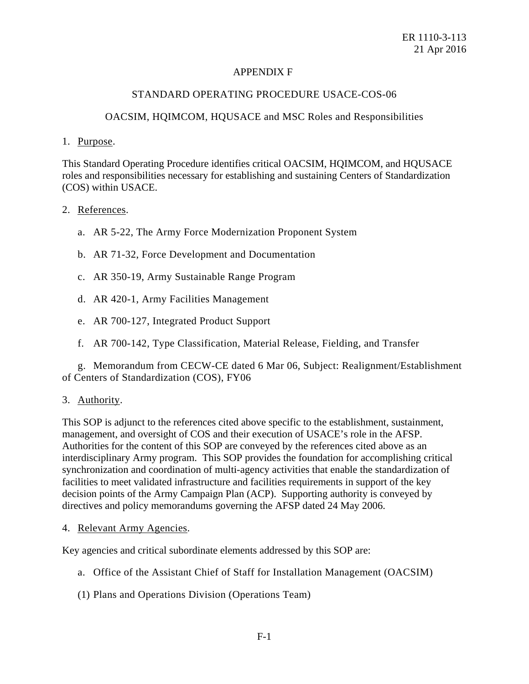# APPENDIX F

# STANDARD OPERATING PROCEDURE USACE-COS-06

# OACSIM, HQIMCOM, HQUSACE and MSC Roles and Responsibilities

#### 1. Purpose.

This Standard Operating Procedure identifies critical OACSIM, HQIMCOM, and HQUSACE roles and responsibilities necessary for establishing and sustaining Centers of Standardization (COS) within USACE.

#### 2. References.

- a. AR 5-22, The Army Force Modernization Proponent System
- b. AR 71-32, Force Development and Documentation
- c. AR 350-19, Army Sustainable Range Program
- d. AR 420-1, Army Facilities Management
- e. AR 700-127, Integrated Product Support
- f. AR 700-142, Type Classification, Material Release, Fielding, and Transfer

g. Memorandum from CECW-CE dated 6 Mar 06, Subject: Realignment/Establishment of Centers of Standardization (COS), FY06

#### 3. Authority.

This SOP is adjunct to the references cited above specific to the establishment, sustainment, management, and oversight of COS and their execution of USACE's role in the AFSP. Authorities for the content of this SOP are conveyed by the references cited above as an interdisciplinary Army program. This SOP provides the foundation for accomplishing critical synchronization and coordination of multi-agency activities that enable the standardization of facilities to meet validated infrastructure and facilities requirements in support of the key decision points of the Army Campaign Plan (ACP). Supporting authority is conveyed by directives and policy memorandums governing the AFSP dated 24 May 2006.

#### 4. Relevant Army Agencies.

Key agencies and critical subordinate elements addressed by this SOP are:

- a. Office of the Assistant Chief of Staff for Installation Management (OACSIM)
- (1) Plans and Operations Division (Operations Team)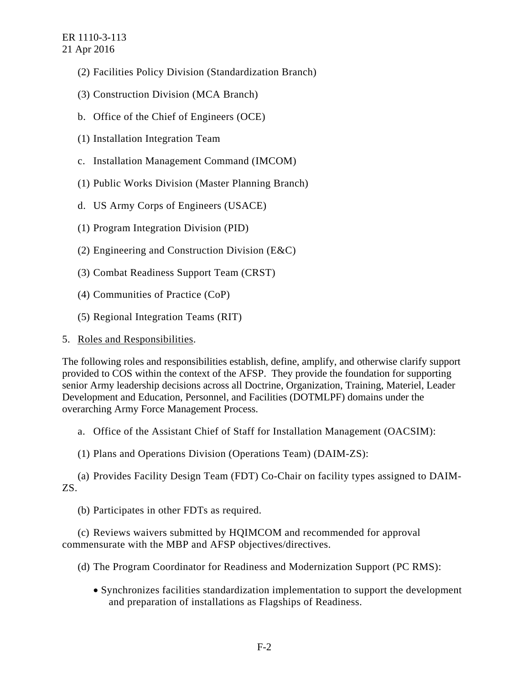- <span id="page-41-0"></span>(2) Facilities Policy Division (Standardization Branch)
- (3) Construction Division (MCA Branch)
- b. Office of the Chief of Engineers (OCE)
- (1) Installation Integration Team
- c. Installation Management Command (IMCOM)
- (1) Public Works Division (Master Planning Branch)
- d. US Army Corps of Engineers (USACE)
- (1) Program Integration Division (PID)
- (2) Engineering and Construction Division (E&C)
- (3) Combat Readiness Support Team (CRST)
- (4) Communities of Practice (CoP)
- (5) Regional Integration Teams (RIT)
- 5. Roles and Responsibilities.

The following roles and responsibilities establish, define, amplify, and otherwise clarify support provided to COS within the context of the AFSP. They provide the foundation for supporting senior Army leadership decisions across all Doctrine, Organization, Training, Materiel, Leader Development and Education, Personnel, and Facilities (DOTMLPF) domains under the overarching Army Force Management Process.

- a. Office of the Assistant Chief of Staff for Installation Management (OACSIM):
- (1) Plans and Operations Division (Operations Team) (DAIM-ZS):

(a) Provides Facility Design Team (FDT) Co-Chair on facility types assigned to DAIM-ZS.

(b) Participates in other FDTs as required.

(c) Reviews waivers submitted by HQIMCOM and recommended for approval commensurate with the MBP and AFSP objectives/directives.

(d) The Program Coordinator for Readiness and Modernization Support (PC RMS):

 Synchronizes facilities standardization implementation to support the development and preparation of installations as Flagships of Readiness.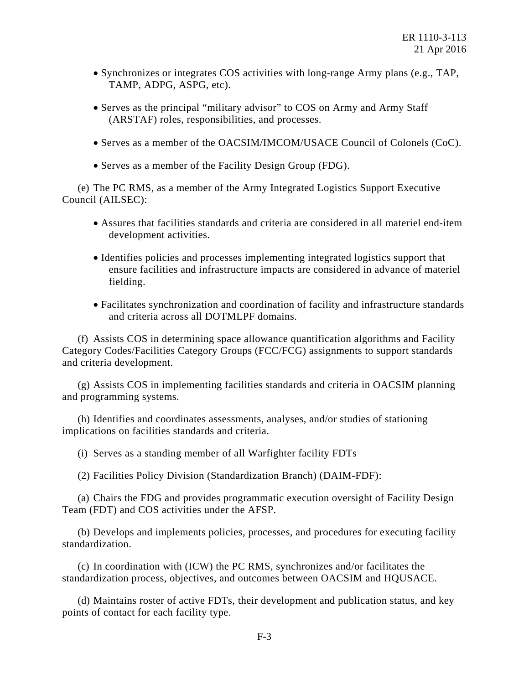- Synchronizes or integrates COS activities with long-range Army plans (e.g., TAP, TAMP, ADPG, ASPG, etc).
- Serves as the principal "military advisor" to COS on Army and Army Staff (ARSTAF) roles, responsibilities, and processes.
- Serves as a member of the OACSIM/IMCOM/USACE Council of Colonels (CoC).
- Serves as a member of the Facility Design Group (FDG).

(e) The PC RMS, as a member of the Army Integrated Logistics Support Executive Council (AILSEC):

- Assures that facilities standards and criteria are considered in all materiel end-item development activities.
- Identifies policies and processes implementing integrated logistics support that ensure facilities and infrastructure impacts are considered in advance of materiel fielding.
- Facilitates synchronization and coordination of facility and infrastructure standards and criteria across all DOTMLPF domains.

(f) Assists COS in determining space allowance quantification algorithms and Facility Category Codes/Facilities Category Groups (FCC/FCG) assignments to support standards and criteria development.

(g) Assists COS in implementing facilities standards and criteria in OACSIM planning and programming systems.

(h) Identifies and coordinates assessments, analyses, and/or studies of stationing implications on facilities standards and criteria.

(i) Serves as a standing member of all Warfighter facility FDTs

(2) Facilities Policy Division (Standardization Branch) (DAIM-FDF):

(a) Chairs the FDG and provides programmatic execution oversight of Facility Design Team (FDT) and COS activities under the AFSP.

(b) Develops and implements policies, processes, and procedures for executing facility standardization.

(c) In coordination with (ICW) the PC RMS, synchronizes and/or facilitates the standardization process, objectives, and outcomes between OACSIM and HQUSACE.

(d) Maintains roster of active FDTs, their development and publication status, and key points of contact for each facility type.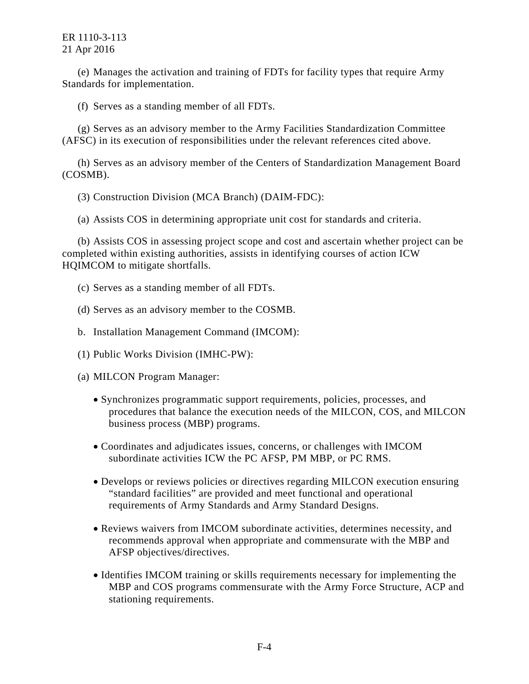(e) Manages the activation and training of FDTs for facility types that require Army Standards for implementation.

(f) Serves as a standing member of all FDTs.

(g) Serves as an advisory member to the Army Facilities Standardization Committee (AFSC) in its execution of responsibilities under the relevant references cited above.

(h) Serves as an advisory member of the Centers of Standardization Management Board (COSMB).

(3) Construction Division (MCA Branch) (DAIM-FDC):

(a) Assists COS in determining appropriate unit cost for standards and criteria.

(b) Assists COS in assessing project scope and cost and ascertain whether project can be completed within existing authorities, assists in identifying courses of action ICW HQIMCOM to mitigate shortfalls.

- (c) Serves as a standing member of all FDTs.
- (d) Serves as an advisory member to the COSMB.
- b. Installation Management Command (IMCOM):
- (1) Public Works Division (IMHC-PW):
- (a) MILCON Program Manager:
	- Synchronizes programmatic support requirements, policies, processes, and procedures that balance the execution needs of the MILCON, COS, and MILCON business process (MBP) programs.
	- Coordinates and adjudicates issues, concerns, or challenges with IMCOM subordinate activities ICW the PC AFSP, PM MBP, or PC RMS.
	- Develops or reviews policies or directives regarding MILCON execution ensuring "standard facilities" are provided and meet functional and operational requirements of Army Standards and Army Standard Designs.
	- Reviews waivers from IMCOM subordinate activities, determines necessity, and recommends approval when appropriate and commensurate with the MBP and AFSP objectives/directives.
	- Identifies IMCOM training or skills requirements necessary for implementing the MBP and COS programs commensurate with the Army Force Structure, ACP and stationing requirements.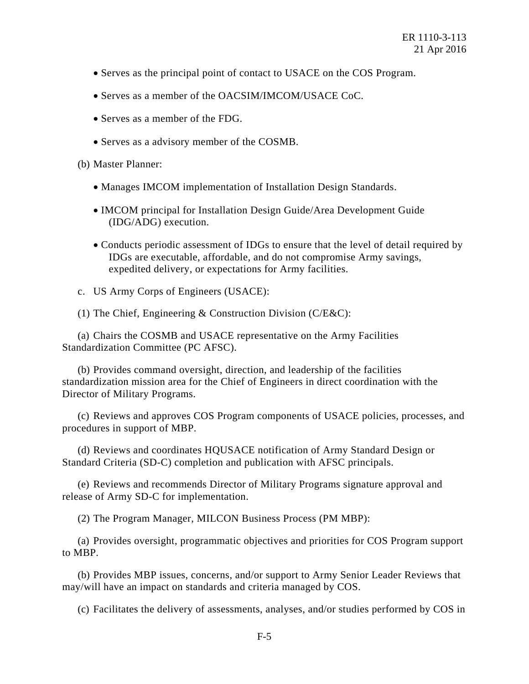- Serves as the principal point of contact to USACE on the COS Program.
- Serves as a member of the OACSIM/IMCOM/USACE CoC.
- Serves as a member of the FDG.
- Serves as a advisory member of the COSMB.

(b) Master Planner:

- Manages IMCOM implementation of Installation Design Standards.
- IMCOM principal for Installation Design Guide/Area Development Guide (IDG/ADG) execution.
- Conducts periodic assessment of IDGs to ensure that the level of detail required by IDGs are executable, affordable, and do not compromise Army savings, expedited delivery, or expectations for Army facilities.
- c. US Army Corps of Engineers (USACE):

(1) The Chief, Engineering & Construction Division (C/E&C):

(a) Chairs the COSMB and USACE representative on the Army Facilities Standardization Committee (PC AFSC).

(b) Provides command oversight, direction, and leadership of the facilities standardization mission area for the Chief of Engineers in direct coordination with the Director of Military Programs.

(c) Reviews and approves COS Program components of USACE policies, processes, and procedures in support of MBP.

(d) Reviews and coordinates HQUSACE notification of Army Standard Design or Standard Criteria (SD-C) completion and publication with AFSC principals.

(e) Reviews and recommends Director of Military Programs signature approval and release of Army SD-C for implementation.

(2) The Program Manager, MILCON Business Process (PM MBP):

(a) Provides oversight, programmatic objectives and priorities for COS Program support to MBP.

(b) Provides MBP issues, concerns, and/or support to Army Senior Leader Reviews that may/will have an impact on standards and criteria managed by COS.

(c) Facilitates the delivery of assessments, analyses, and/or studies performed by COS in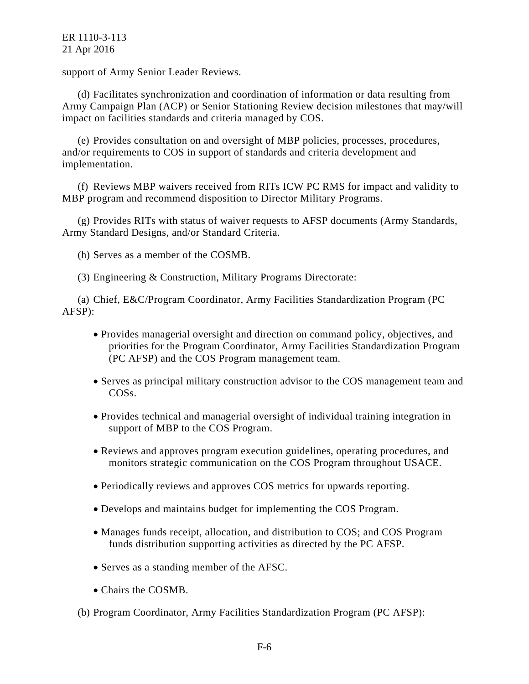support of Army Senior Leader Reviews.

(d) Facilitates synchronization and coordination of information or data resulting from Army Campaign Plan (ACP) or Senior Stationing Review decision milestones that may/will impact on facilities standards and criteria managed by COS.

(e) Provides consultation on and oversight of MBP policies, processes, procedures, and/or requirements to COS in support of standards and criteria development and implementation.

(f) Reviews MBP waivers received from RITs ICW PC RMS for impact and validity to MBP program and recommend disposition to Director Military Programs.

(g) Provides RITs with status of waiver requests to AFSP documents (Army Standards, Army Standard Designs, and/or Standard Criteria.

(h) Serves as a member of the COSMB.

(3) Engineering & Construction, Military Programs Directorate:

(a) Chief, E&C/Program Coordinator, Army Facilities Standardization Program (PC AFSP):

- Provides managerial oversight and direction on command policy, objectives, and priorities for the Program Coordinator, Army Facilities Standardization Program (PC AFSP) and the COS Program management team.
- Serves as principal military construction advisor to the COS management team and COSs.
- Provides technical and managerial oversight of individual training integration in support of MBP to the COS Program.
- Reviews and approves program execution guidelines, operating procedures, and monitors strategic communication on the COS Program throughout USACE.
- Periodically reviews and approves COS metrics for upwards reporting.
- Develops and maintains budget for implementing the COS Program.
- Manages funds receipt, allocation, and distribution to COS; and COS Program funds distribution supporting activities as directed by the PC AFSP.
- Serves as a standing member of the AFSC.
- Chairs the COSMB.
- (b) Program Coordinator, Army Facilities Standardization Program (PC AFSP):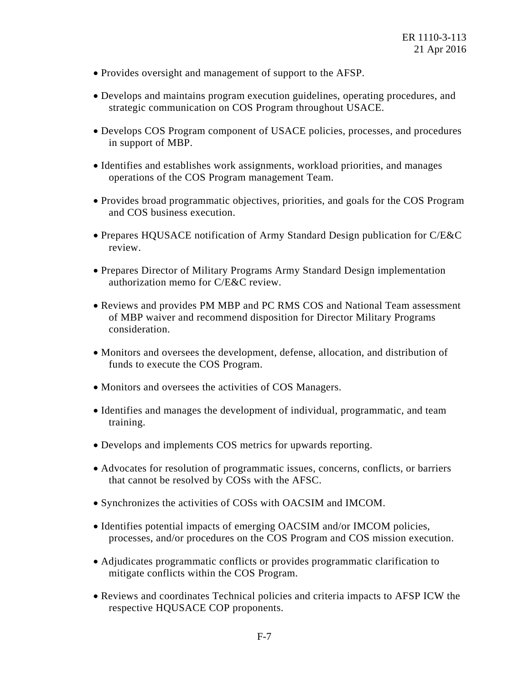- Provides oversight and management of support to the AFSP.
- Develops and maintains program execution guidelines, operating procedures, and strategic communication on COS Program throughout USACE.
- Develops COS Program component of USACE policies, processes, and procedures in support of MBP.
- Identifies and establishes work assignments, workload priorities, and manages operations of the COS Program management Team.
- Provides broad programmatic objectives, priorities, and goals for the COS Program and COS business execution.
- Prepares HQUSACE notification of Army Standard Design publication for C/E&C review.
- Prepares Director of Military Programs Army Standard Design implementation authorization memo for C/E&C review.
- Reviews and provides PM MBP and PC RMS COS and National Team assessment of MBP waiver and recommend disposition for Director Military Programs consideration.
- Monitors and oversees the development, defense, allocation, and distribution of funds to execute the COS Program.
- Monitors and oversees the activities of COS Managers.
- Identifies and manages the development of individual, programmatic, and team training.
- Develops and implements COS metrics for upwards reporting.
- Advocates for resolution of programmatic issues, concerns, conflicts, or barriers that cannot be resolved by COSs with the AFSC.
- Synchronizes the activities of COSs with OACSIM and IMCOM.
- Identifies potential impacts of emerging OACSIM and/or IMCOM policies, processes, and/or procedures on the COS Program and COS mission execution.
- Adjudicates programmatic conflicts or provides programmatic clarification to mitigate conflicts within the COS Program.
- Reviews and coordinates Technical policies and criteria impacts to AFSP ICW the respective HQUSACE COP proponents.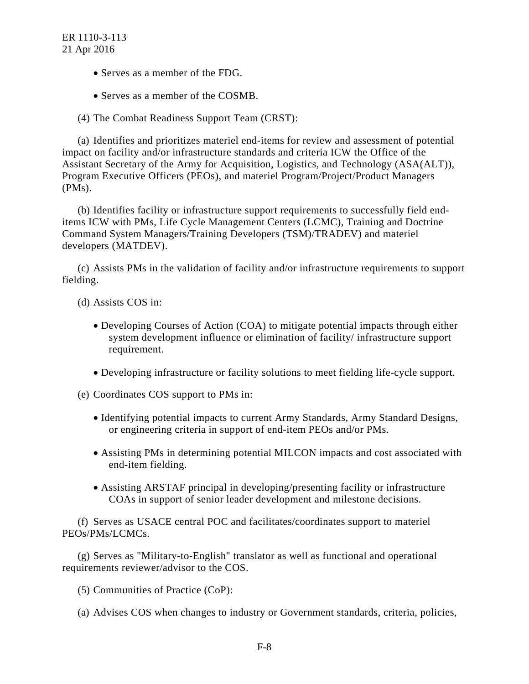- Serves as a member of the FDG.
- Serves as a member of the COSMB.

(4) The Combat Readiness Support Team (CRST):

(a) Identifies and prioritizes materiel end-items for review and assessment of potential impact on facility and/or infrastructure standards and criteria ICW the Office of the Assistant Secretary of the Army for Acquisition, Logistics, and Technology (ASA(ALT)), Program Executive Officers (PEOs), and materiel Program/Project/Product Managers (PMs).

(b) Identifies facility or infrastructure support requirements to successfully field enditems ICW with PMs, Life Cycle Management Centers (LCMC), Training and Doctrine Command System Managers/Training Developers (TSM)/TRADEV) and materiel developers (MATDEV).

(c) Assists PMs in the validation of facility and/or infrastructure requirements to support fielding.

(d) Assists COS in:

- Developing Courses of Action (COA) to mitigate potential impacts through either system development influence or elimination of facility/ infrastructure support requirement.
- Developing infrastructure or facility solutions to meet fielding life-cycle support.
- (e) Coordinates COS support to PMs in:
	- Identifying potential impacts to current Army Standards, Army Standard Designs, or engineering criteria in support of end-item PEOs and/or PMs.
	- Assisting PMs in determining potential MILCON impacts and cost associated with end-item fielding.
	- Assisting ARSTAF principal in developing/presenting facility or infrastructure COAs in support of senior leader development and milestone decisions.

(f) Serves as USACE central POC and facilitates/coordinates support to materiel PEOs/PMs/LCMCs.

(g) Serves as "Military-to-English" translator as well as functional and operational requirements reviewer/advisor to the COS.

(5) Communities of Practice (CoP):

(a) Advises COS when changes to industry or Government standards, criteria, policies,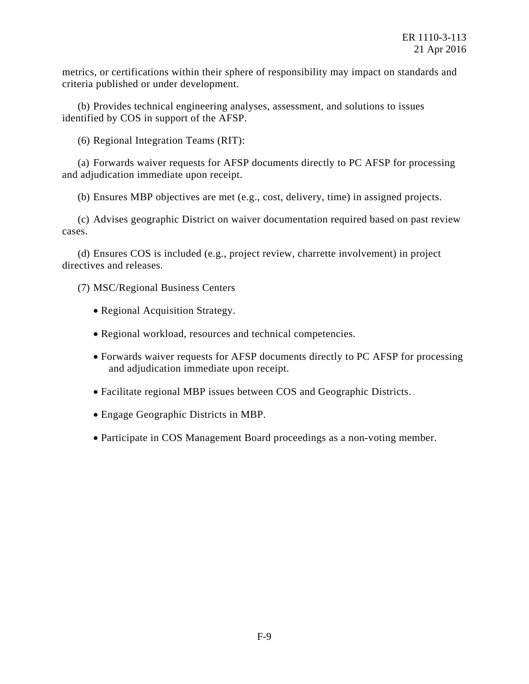metrics, or certifications within their sphere of responsibility may impact on standards and criteria published or under development.

(b) Provides technical engineering analyses, assessment, and solutions to issues identified by COS in support of the AFSP.

(6) Regional Integration Teams (RIT):

(a) Forwards waiver requests for AFSP documents directly to PC AFSP for processing and adjudication immediate upon receipt.

(b) Ensures MBP objectives are met (e.g., cost, delivery, time) in assigned projects.

(c) Advises geographic District on waiver documentation required based on past review cases.

(d) Ensures COS is included (e.g., project review, charrette involvement) in project directives and releases.

(7) MSC/Regional Business Centers

- Regional Acquisition Strategy.
- Regional workload, resources and technical competencies.
- Forwards waiver requests for AFSP documents directly to PC AFSP for processing and adjudication immediate upon receipt.
- Facilitate regional MBP issues between COS and Geographic Districts.
- Engage Geographic Districts in MBP.
- Participate in COS Management Board proceedings as a non-voting member.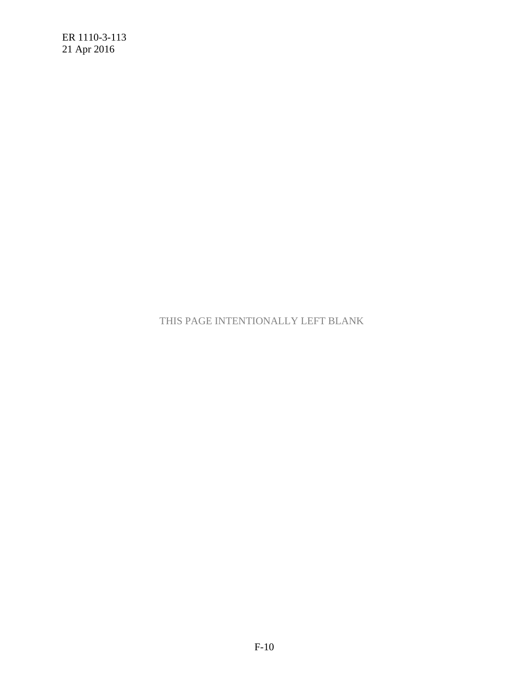ER 1110-3-113 21 Apr 2016

THIS PAGE INTENTIONALLY LEFT BLANK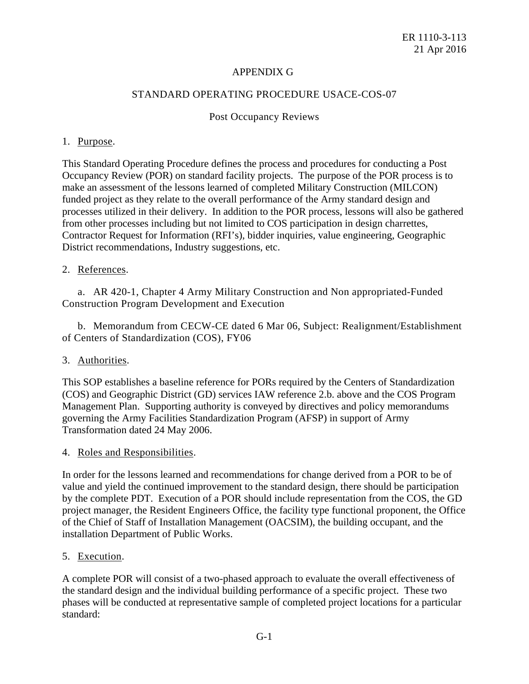# APPENDIX G

#### STANDARD OPERATING PROCEDURE USACE-COS-07

#### Post Occupancy Reviews

#### <span id="page-50-0"></span>1. Purpose.

This Standard Operating Procedure defines the process and procedures for conducting a Post Occupancy Review (POR) on standard facility projects. The purpose of the POR process is to make an assessment of the lessons learned of completed Military Construction (MILCON) funded project as they relate to the overall performance of the Army standard design and processes utilized in their delivery. In addition to the POR process, lessons will also be gathered from other processes including but not limited to COS participation in design charrettes, Contractor Request for Information (RFI's), bidder inquiries, value engineering, Geographic District recommendations, Industry suggestions, etc.

#### 2. References.

a. AR 420-1, Chapter 4 Army Military Construction and Non appropriated-Funded Construction Program Development and Execution

b. Memorandum from CECW-CE dated 6 Mar 06, Subject: Realignment/Establishment of Centers of Standardization (COS), FY06

#### 3. Authorities.

This SOP establishes a baseline reference for PORs required by the Centers of Standardization (COS) and Geographic District (GD) services IAW reference 2.b. above and the COS Program Management Plan. Supporting authority is conveyed by directives and policy memorandums governing the Army Facilities Standardization Program (AFSP) in support of Army Transformation dated 24 May 2006.

#### 4. Roles and Responsibilities.

In order for the lessons learned and recommendations for change derived from a POR to be of value and yield the continued improvement to the standard design, there should be participation by the complete PDT. Execution of a POR should include representation from the COS, the GD project manager, the Resident Engineers Office, the facility type functional proponent, the Office of the Chief of Staff of Installation Management (OACSIM), the building occupant, and the installation Department of Public Works.

#### 5. Execution.

A complete POR will consist of a two-phased approach to evaluate the overall effectiveness of the standard design and the individual building performance of a specific project. These two phases will be conducted at representative sample of completed project locations for a particular standard: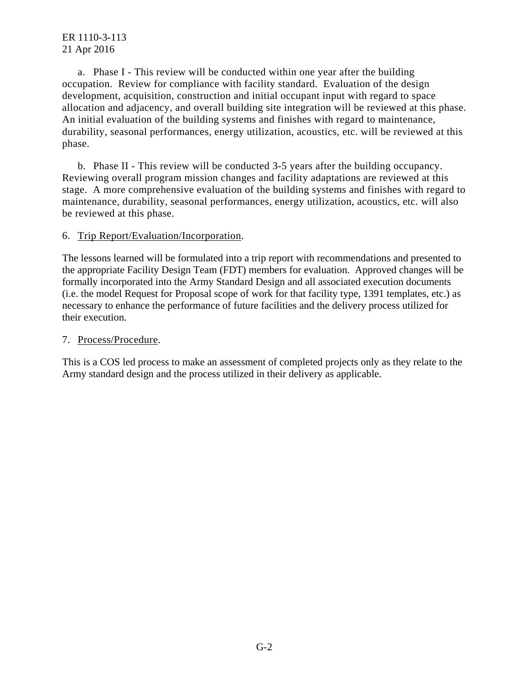# <span id="page-51-0"></span>ER 1110-3-113 21 Apr 2016

a. Phase I - This review will be conducted within one year after the building occupation. Review for compliance with facility standard. Evaluation of the design development, acquisition, construction and initial occupant input with regard to space allocation and adjacency, and overall building site integration will be reviewed at this phase. An initial evaluation of the building systems and finishes with regard to maintenance, durability, seasonal performances, energy utilization, acoustics, etc. will be reviewed at this phase.

b. Phase II - This review will be conducted 3-5 years after the building occupancy. Reviewing overall program mission changes and facility adaptations are reviewed at this stage. A more comprehensive evaluation of the building systems and finishes with regard to maintenance, durability, seasonal performances, energy utilization, acoustics, etc. will also be reviewed at this phase.

# 6. Trip Report/Evaluation/Incorporation.

The lessons learned will be formulated into a trip report with recommendations and presented to the appropriate Facility Design Team (FDT) members for evaluation. Approved changes will be formally incorporated into the Army Standard Design and all associated execution documents (i.e. the model Request for Proposal scope of work for that facility type, 1391 templates, etc.) as necessary to enhance the performance of future facilities and the delivery process utilized for their execution.

#### 7. Process/Procedure.

This is a COS led process to make an assessment of completed projects only as they relate to the Army standard design and the process utilized in their delivery as applicable.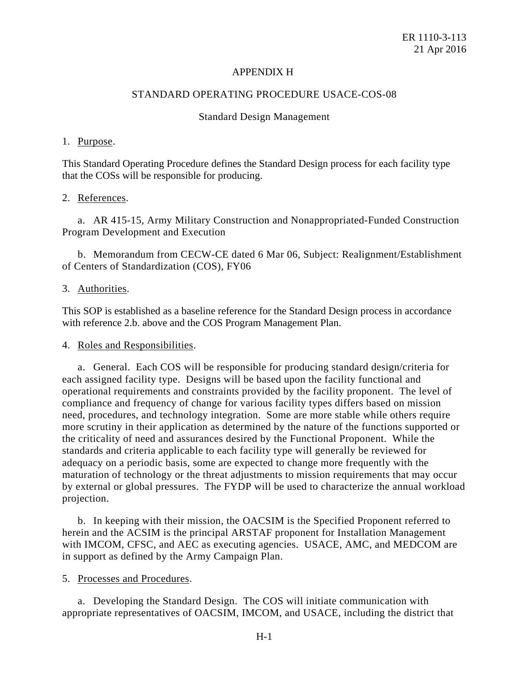## APPENDIX H

#### STANDARD OPERATING PROCEDURE USACE-COS-08

#### Standard Design Management

#### <span id="page-52-0"></span>1. Purpose.

This Standard Operating Procedure defines the Standard Design process for each facility type that the COSs will be responsible for producing.

#### 2. References.

a. AR 415-15, Army Military Construction and Nonappropriated-Funded Construction Program Development and Execution

b. Memorandum from CECW-CE dated 6 Mar 06, Subject: Realignment/Establishment of Centers of Standardization (COS), FY06

#### 3. Authorities.

This SOP is established as a baseline reference for the Standard Design process in accordance with reference 2.b. above and the COS Program Management Plan.

#### 4. Roles and Responsibilities.

a. General. Each COS will be responsible for producing standard design/criteria for each assigned facility type. Designs will be based upon the facility functional and operational requirements and constraints provided by the facility proponent. The level of compliance and frequency of change for various facility types differs based on mission need, procedures, and technology integration. Some are more stable while others require more scrutiny in their application as determined by the nature of the functions supported or the criticality of need and assurances desired by the Functional Proponent. While the standards and criteria applicable to each facility type will generally be reviewed for adequacy on a periodic basis, some are expected to change more frequently with the maturation of technology or the threat adjustments to mission requirements that may occur by external or global pressures. The FYDP will be used to characterize the annual workload projection.

b. In keeping with their mission, the OACSIM is the Specified Proponent referred to herein and the ACSIM is the principal ARSTAF proponent for Installation Management with IMCOM, CFSC, and AEC as executing agencies. USACE, AMC, and MEDCOM are in support as defined by the Army Campaign Plan.

#### 5. Processes and Procedures.

a. Developing the Standard Design. The COS will initiate communication with appropriate representatives of OACSIM, IMCOM, and USACE, including the district that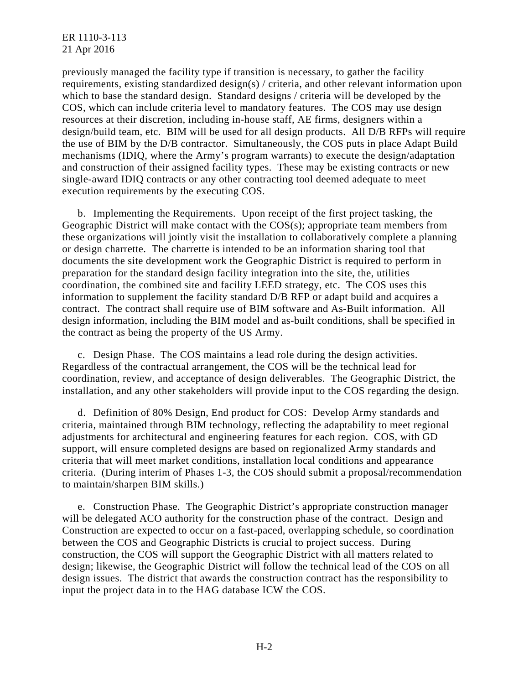## ER 1110-3-113 21 Apr 2016

previously managed the facility type if transition is necessary, to gather the facility requirements, existing standardized design(s) / criteria, and other relevant information upon which to base the standard design. Standard designs / criteria will be developed by the COS, which can include criteria level to mandatory features. The COS may use design resources at their discretion, including in-house staff, AE firms, designers within a design/build team, etc. BIM will be used for all design products. All D/B RFPs will require the use of BIM by the D/B contractor. Simultaneously, the COS puts in place Adapt Build mechanisms (IDIQ, where the Army's program warrants) to execute the design/adaptation and construction of their assigned facility types. These may be existing contracts or new single-award IDIQ contracts or any other contracting tool deemed adequate to meet execution requirements by the executing COS.

b. Implementing the Requirements. Upon receipt of the first project tasking, the Geographic District will make contact with the COS(s); appropriate team members from these organizations will jointly visit the installation to collaboratively complete a planning or design charrette. The charrette is intended to be an information sharing tool that documents the site development work the Geographic District is required to perform in preparation for the standard design facility integration into the site, the, utilities coordination, the combined site and facility LEED strategy, etc. The COS uses this information to supplement the facility standard D/B RFP or adapt build and acquires a contract. The contract shall require use of BIM software and As-Built information. All design information, including the BIM model and as-built conditions, shall be specified in the contract as being the property of the US Army.

c. Design Phase. The COS maintains a lead role during the design activities. Regardless of the contractual arrangement, the COS will be the technical lead for coordination, review, and acceptance of design deliverables. The Geographic District, the installation, and any other stakeholders will provide input to the COS regarding the design.

d. Definition of 80% Design, End product for COS: Develop Army standards and criteria, maintained through BIM technology, reflecting the adaptability to meet regional adjustments for architectural and engineering features for each region. COS, with GD support, will ensure completed designs are based on regionalized Army standards and criteria that will meet market conditions, installation local conditions and appearance criteria. (During interim of Phases 1-3, the COS should submit a proposal/recommendation to maintain/sharpen BIM skills.)

e. Construction Phase. The Geographic District's appropriate construction manager will be delegated ACO authority for the construction phase of the contract. Design and Construction are expected to occur on a fast-paced, overlapping schedule, so coordination between the COS and Geographic Districts is crucial to project success. During construction, the COS will support the Geographic District with all matters related to design; likewise, the Geographic District will follow the technical lead of the COS on all design issues. The district that awards the construction contract has the responsibility to input the project data in to the HAG database ICW the COS.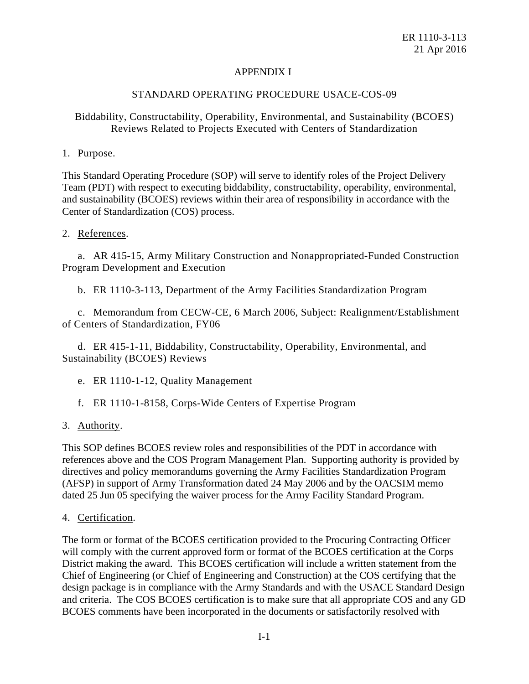# APPENDIX I

# STANDARD OPERATING PROCEDURE USACE-COS-09

# <span id="page-54-0"></span>Biddability, Constructability, Operability, Environmental, and Sustainability (BCOES) Reviews Related to Projects Executed with Centers of Standardization

#### 1. Purpose.

This Standard Operating Procedure (SOP) will serve to identify roles of the Project Delivery Team (PDT) with respect to executing biddability, constructability, operability, environmental, and sustainability (BCOES) reviews within their area of responsibility in accordance with the Center of Standardization (COS) process.

#### 2. References.

a. AR 415-15, Army Military Construction and Nonappropriated-Funded Construction Program Development and Execution

b. ER 1110-3-113, Department of the Army Facilities Standardization Program

c. Memorandum from CECW-CE, 6 March 2006, Subject: Realignment/Establishment of Centers of Standardization, FY06

d. ER 415-1-11, Biddability, Constructability, Operability, Environmental, and Sustainability (BCOES) Reviews

- e. ER 1110-1-12, Quality Management
- f. ER 1110-1-8158, Corps-Wide Centers of Expertise Program

#### 3. Authority.

This SOP defines BCOES review roles and responsibilities of the PDT in accordance with references above and the COS Program Management Plan. Supporting authority is provided by directives and policy memorandums governing the Army Facilities Standardization Program (AFSP) in support of Army Transformation dated 24 May 2006 and by the OACSIM memo dated 25 Jun 05 specifying the waiver process for the Army Facility Standard Program.

#### 4. Certification.

The form or format of the BCOES certification provided to the Procuring Contracting Officer will comply with the current approved form or format of the BCOES certification at the Corps District making the award. This BCOES certification will include a written statement from the Chief of Engineering (or Chief of Engineering and Construction) at the COS certifying that the design package is in compliance with the Army Standards and with the USACE Standard Design and criteria. The COS BCOES certification is to make sure that all appropriate COS and any GD BCOES comments have been incorporated in the documents or satisfactorily resolved with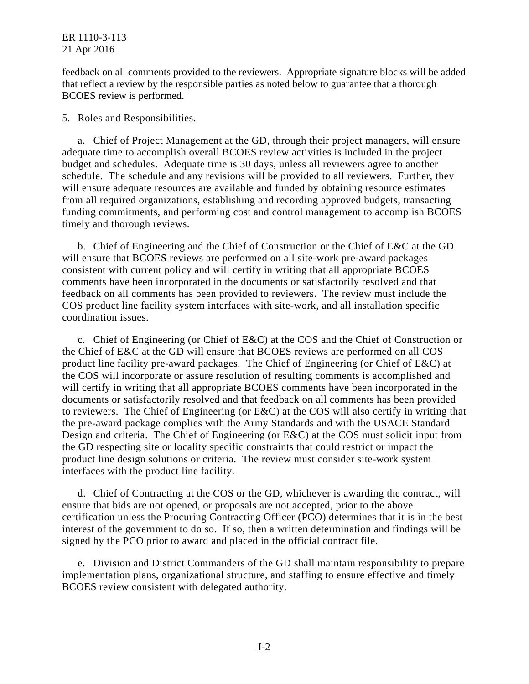<span id="page-55-0"></span>ER 1110-3-113 21 Apr 2016

feedback on all comments provided to the reviewers. Appropriate signature blocks will be added that reflect a review by the responsible parties as noted below to guarantee that a thorough BCOES review is performed.

#### 5. Roles and Responsibilities.

a. Chief of Project Management at the GD, through their project managers, will ensure adequate time to accomplish overall BCOES review activities is included in the project budget and schedules. Adequate time is 30 days, unless all reviewers agree to another schedule. The schedule and any revisions will be provided to all reviewers. Further, they will ensure adequate resources are available and funded by obtaining resource estimates from all required organizations, establishing and recording approved budgets, transacting funding commitments, and performing cost and control management to accomplish BCOES timely and thorough reviews.

b. Chief of Engineering and the Chief of Construction or the Chief of E&C at the GD will ensure that BCOES reviews are performed on all site-work pre-award packages consistent with current policy and will certify in writing that all appropriate BCOES comments have been incorporated in the documents or satisfactorily resolved and that feedback on all comments has been provided to reviewers. The review must include the COS product line facility system interfaces with site-work, and all installation specific coordination issues.

c. Chief of Engineering (or Chief of E&C) at the COS and the Chief of Construction or the Chief of E&C at the GD will ensure that BCOES reviews are performed on all COS product line facility pre-award packages. The Chief of Engineering (or Chief of E&C) at the COS will incorporate or assure resolution of resulting comments is accomplished and will certify in writing that all appropriate BCOES comments have been incorporated in the documents or satisfactorily resolved and that feedback on all comments has been provided to reviewers. The Chief of Engineering (or E&C) at the COS will also certify in writing that the pre-award package complies with the Army Standards and with the USACE Standard Design and criteria. The Chief of Engineering (or E&C) at the COS must solicit input from the GD respecting site or locality specific constraints that could restrict or impact the product line design solutions or criteria. The review must consider site-work system interfaces with the product line facility.

d. Chief of Contracting at the COS or the GD, whichever is awarding the contract, will ensure that bids are not opened, or proposals are not accepted, prior to the above certification unless the Procuring Contracting Officer (PCO) determines that it is in the best interest of the government to do so. If so, then a written determination and findings will be signed by the PCO prior to award and placed in the official contract file.

e. Division and District Commanders of the GD shall maintain responsibility to prepare implementation plans, organizational structure, and staffing to ensure effective and timely BCOES review consistent with delegated authority.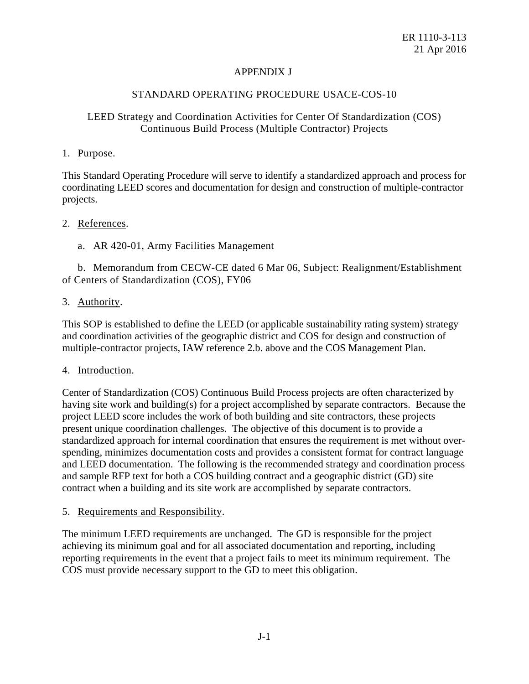# APPENDIX J

# STANDARD OPERATING PROCEDURE USACE-COS-10

# <span id="page-56-0"></span>LEED Strategy and Coordination Activities for Center Of Standardization (COS) Continuous Build Process (Multiple Contractor) Projects

#### 1. Purpose.

This Standard Operating Procedure will serve to identify a standardized approach and process for coordinating LEED scores and documentation for design and construction of multiple-contractor projects.

#### 2. References.

a. AR 420-01, Army Facilities Management

b. Memorandum from CECW-CE dated 6 Mar 06, Subject: Realignment/Establishment of Centers of Standardization (COS), FY06

#### 3. Authority.

This SOP is established to define the LEED (or applicable sustainability rating system) strategy and coordination activities of the geographic district and COS for design and construction of multiple-contractor projects, IAW reference 2.b. above and the COS Management Plan.

#### 4. Introduction.

Center of Standardization (COS) Continuous Build Process projects are often characterized by having site work and building(s) for a project accomplished by separate contractors. Because the project LEED score includes the work of both building and site contractors, these projects present unique coordination challenges. The objective of this document is to provide a standardized approach for internal coordination that ensures the requirement is met without overspending, minimizes documentation costs and provides a consistent format for contract language and LEED documentation. The following is the recommended strategy and coordination process and sample RFP text for both a COS building contract and a geographic district (GD) site contract when a building and its site work are accomplished by separate contractors.

#### 5. Requirements and Responsibility.

The minimum LEED requirements are unchanged. The GD is responsible for the project achieving its minimum goal and for all associated documentation and reporting, including reporting requirements in the event that a project fails to meet its minimum requirement. The COS must provide necessary support to the GD to meet this obligation.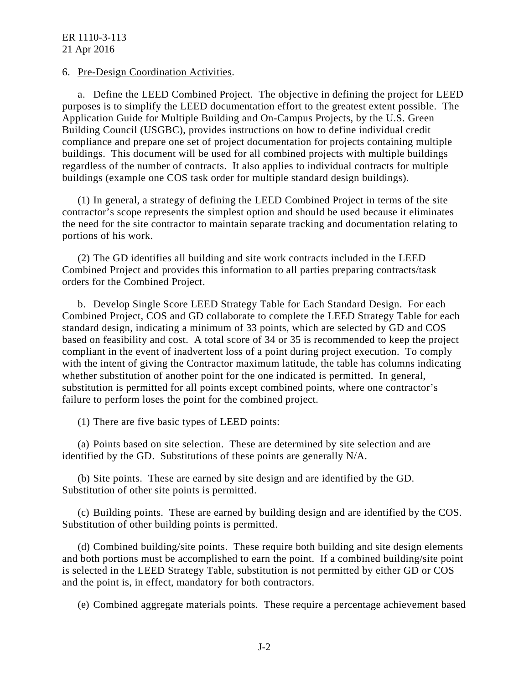#### <span id="page-57-0"></span>6. Pre-Design Coordination Activities.

a. Define the LEED Combined Project. The objective in defining the project for LEED purposes is to simplify the LEED documentation effort to the greatest extent possible. The Application Guide for Multiple Building and On-Campus Projects, by the U.S. Green Building Council (USGBC), provides instructions on how to define individual credit compliance and prepare one set of project documentation for projects containing multiple buildings. This document will be used for all combined projects with multiple buildings regardless of the number of contracts. It also applies to individual contracts for multiple buildings (example one COS task order for multiple standard design buildings).

(1) In general, a strategy of defining the LEED Combined Project in terms of the site contractor's scope represents the simplest option and should be used because it eliminates the need for the site contractor to maintain separate tracking and documentation relating to portions of his work.

(2) The GD identifies all building and site work contracts included in the LEED Combined Project and provides this information to all parties preparing contracts/task orders for the Combined Project.

b. Develop Single Score LEED Strategy Table for Each Standard Design. For each Combined Project, COS and GD collaborate to complete the LEED Strategy Table for each standard design, indicating a minimum of 33 points, which are selected by GD and COS based on feasibility and cost. A total score of 34 or 35 is recommended to keep the project compliant in the event of inadvertent loss of a point during project execution. To comply with the intent of giving the Contractor maximum latitude, the table has columns indicating whether substitution of another point for the one indicated is permitted. In general, substitution is permitted for all points except combined points, where one contractor's failure to perform loses the point for the combined project.

(1) There are five basic types of LEED points:

(a) Points based on site selection. These are determined by site selection and are identified by the GD. Substitutions of these points are generally N/A.

(b) Site points. These are earned by site design and are identified by the GD. Substitution of other site points is permitted.

(c) Building points. These are earned by building design and are identified by the COS. Substitution of other building points is permitted.

(d) Combined building/site points. These require both building and site design elements and both portions must be accomplished to earn the point. If a combined building/site point is selected in the LEED Strategy Table, substitution is not permitted by either GD or COS and the point is, in effect, mandatory for both contractors.

(e) Combined aggregate materials points. These require a percentage achievement based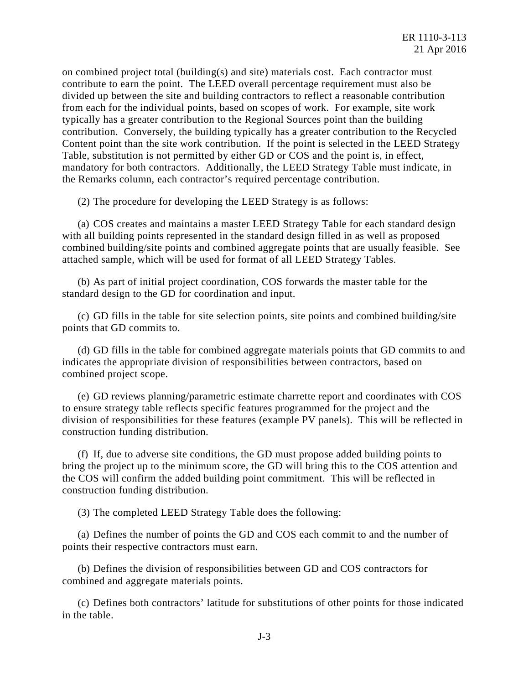on combined project total (building(s) and site) materials cost. Each contractor must contribute to earn the point. The LEED overall percentage requirement must also be divided up between the site and building contractors to reflect a reasonable contribution from each for the individual points, based on scopes of work. For example, site work typically has a greater contribution to the Regional Sources point than the building contribution. Conversely, the building typically has a greater contribution to the Recycled Content point than the site work contribution. If the point is selected in the LEED Strategy Table, substitution is not permitted by either GD or COS and the point is, in effect, mandatory for both contractors. Additionally, the LEED Strategy Table must indicate, in the Remarks column, each contractor's required percentage contribution.

(2) The procedure for developing the LEED Strategy is as follows:

(a) COS creates and maintains a master LEED Strategy Table for each standard design with all building points represented in the standard design filled in as well as proposed combined building/site points and combined aggregate points that are usually feasible. See attached sample, which will be used for format of all LEED Strategy Tables.

(b) As part of initial project coordination, COS forwards the master table for the standard design to the GD for coordination and input.

(c) GD fills in the table for site selection points, site points and combined building/site points that GD commits to.

(d) GD fills in the table for combined aggregate materials points that GD commits to and indicates the appropriate division of responsibilities between contractors, based on combined project scope.

(e) GD reviews planning/parametric estimate charrette report and coordinates with COS to ensure strategy table reflects specific features programmed for the project and the division of responsibilities for these features (example PV panels). This will be reflected in construction funding distribution.

(f) If, due to adverse site conditions, the GD must propose added building points to bring the project up to the minimum score, the GD will bring this to the COS attention and the COS will confirm the added building point commitment. This will be reflected in construction funding distribution.

(3) The completed LEED Strategy Table does the following:

(a) Defines the number of points the GD and COS each commit to and the number of points their respective contractors must earn.

(b) Defines the division of responsibilities between GD and COS contractors for combined and aggregate materials points.

(c) Defines both contractors' latitude for substitutions of other points for those indicated in the table.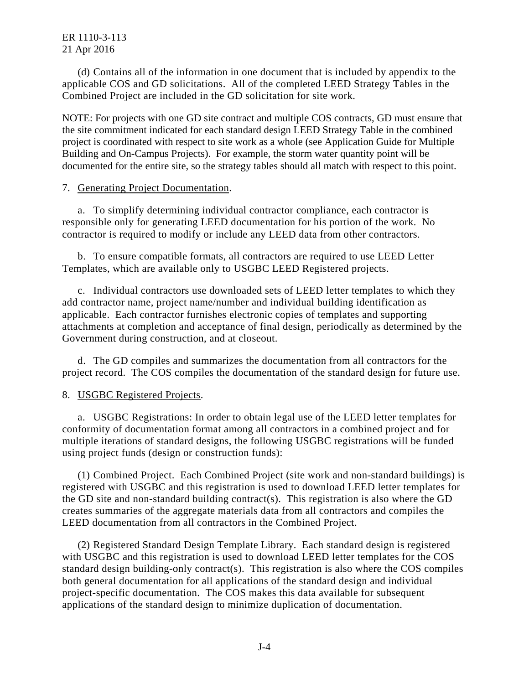# <span id="page-59-0"></span>ER 1110-3-113 21 Apr 2016

(d) Contains all of the information in one document that is included by appendix to the applicable COS and GD solicitations. All of the completed LEED Strategy Tables in the Combined Project are included in the GD solicitation for site work.

NOTE: For projects with one GD site contract and multiple COS contracts, GD must ensure that the site commitment indicated for each standard design LEED Strategy Table in the combined project is coordinated with respect to site work as a whole (see Application Guide for Multiple Building and On-Campus Projects). For example, the storm water quantity point will be documented for the entire site, so the strategy tables should all match with respect to this point.

#### 7. Generating Project Documentation.

a. To simplify determining individual contractor compliance, each contractor is responsible only for generating LEED documentation for his portion of the work. No contractor is required to modify or include any LEED data from other contractors.

b. To ensure compatible formats, all contractors are required to use LEED Letter Templates, which are available only to USGBC LEED Registered projects.

c. Individual contractors use downloaded sets of LEED letter templates to which they add contractor name, project name/number and individual building identification as applicable. Each contractor furnishes electronic copies of templates and supporting attachments at completion and acceptance of final design, periodically as determined by the Government during construction, and at closeout.

d. The GD compiles and summarizes the documentation from all contractors for the project record. The COS compiles the documentation of the standard design for future use.

## 8. USGBC Registered Projects.

a. USGBC Registrations: In order to obtain legal use of the LEED letter templates for conformity of documentation format among all contractors in a combined project and for multiple iterations of standard designs, the following USGBC registrations will be funded using project funds (design or construction funds):

(1) Combined Project. Each Combined Project (site work and non-standard buildings) is registered with USGBC and this registration is used to download LEED letter templates for the GD site and non-standard building contract(s). This registration is also where the GD creates summaries of the aggregate materials data from all contractors and compiles the LEED documentation from all contractors in the Combined Project.

(2) Registered Standard Design Template Library. Each standard design is registered with USGBC and this registration is used to download LEED letter templates for the COS standard design building-only contract(s). This registration is also where the COS compiles both general documentation for all applications of the standard design and individual project-specific documentation. The COS makes this data available for subsequent applications of the standard design to minimize duplication of documentation.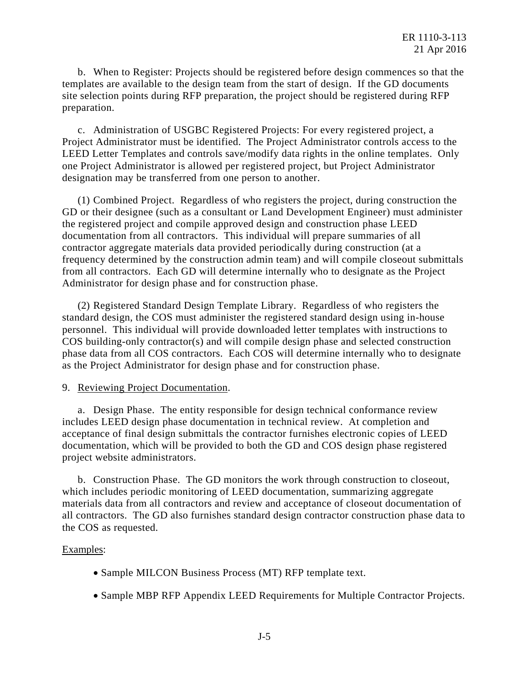<span id="page-60-0"></span>b. When to Register: Projects should be registered before design commences so that the templates are available to the design team from the start of design. If the GD documents site selection points during RFP preparation, the project should be registered during RFP preparation.

c. Administration of USGBC Registered Projects: For every registered project, a Project Administrator must be identified. The Project Administrator controls access to the LEED Letter Templates and controls save/modify data rights in the online templates. Only one Project Administrator is allowed per registered project, but Project Administrator designation may be transferred from one person to another.

(1) Combined Project. Regardless of who registers the project, during construction the GD or their designee (such as a consultant or Land Development Engineer) must administer the registered project and compile approved design and construction phase LEED documentation from all contractors. This individual will prepare summaries of all contractor aggregate materials data provided periodically during construction (at a frequency determined by the construction admin team) and will compile closeout submittals from all contractors. Each GD will determine internally who to designate as the Project Administrator for design phase and for construction phase.

(2) Registered Standard Design Template Library. Regardless of who registers the standard design, the COS must administer the registered standard design using in-house personnel. This individual will provide downloaded letter templates with instructions to COS building-only contractor(s) and will compile design phase and selected construction phase data from all COS contractors. Each COS will determine internally who to designate as the Project Administrator for design phase and for construction phase.

#### 9. Reviewing Project Documentation.

a. Design Phase. The entity responsible for design technical conformance review includes LEED design phase documentation in technical review. At completion and acceptance of final design submittals the contractor furnishes electronic copies of LEED documentation, which will be provided to both the GD and COS design phase registered project website administrators.

b. Construction Phase. The GD monitors the work through construction to closeout, which includes periodic monitoring of LEED documentation, summarizing aggregate materials data from all contractors and review and acceptance of closeout documentation of all contractors. The GD also furnishes standard design contractor construction phase data to the COS as requested.

#### Examples:

- Sample MILCON Business Process (MT) RFP template text.
- Sample MBP RFP Appendix LEED Requirements for Multiple Contractor Projects.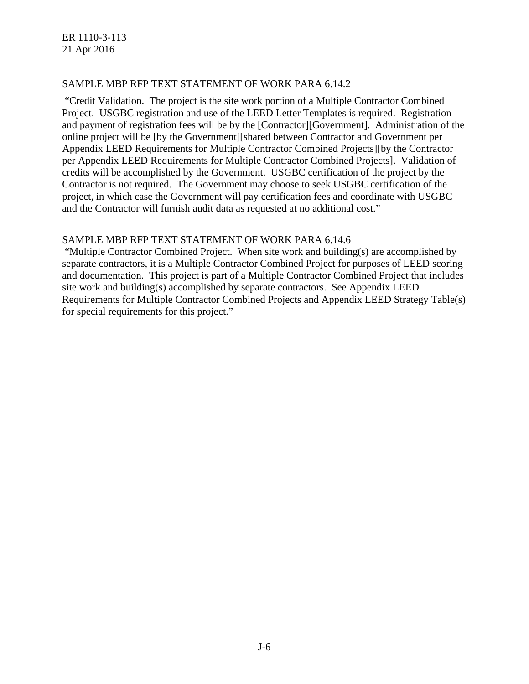ER 1110-3-113 21 Apr 2016

#### SAMPLE MBP RFP TEXT STATEMENT OF WORK PARA 6.14.2

"Credit Validation. The project is the site work portion of a Multiple Contractor Combined Project. USGBC registration and use of the LEED Letter Templates is required. Registration and payment of registration fees will be by the [Contractor][Government]. Administration of the online project will be [by the Government][shared between Contractor and Government per Appendix LEED Requirements for Multiple Contractor Combined Projects][by the Contractor per Appendix LEED Requirements for Multiple Contractor Combined Projects]. Validation of credits will be accomplished by the Government. USGBC certification of the project by the Contractor is not required. The Government may choose to seek USGBC certification of the project, in which case the Government will pay certification fees and coordinate with USGBC and the Contractor will furnish audit data as requested at no additional cost."

#### SAMPLE MBP RFP TEXT STATEMENT OF WORK PARA 6.14.6

 "Multiple Contractor Combined Project. When site work and building(s) are accomplished by separate contractors, it is a Multiple Contractor Combined Project for purposes of LEED scoring and documentation. This project is part of a Multiple Contractor Combined Project that includes site work and building(s) accomplished by separate contractors. See Appendix LEED Requirements for Multiple Contractor Combined Projects and Appendix LEED Strategy Table(s) for special requirements for this project."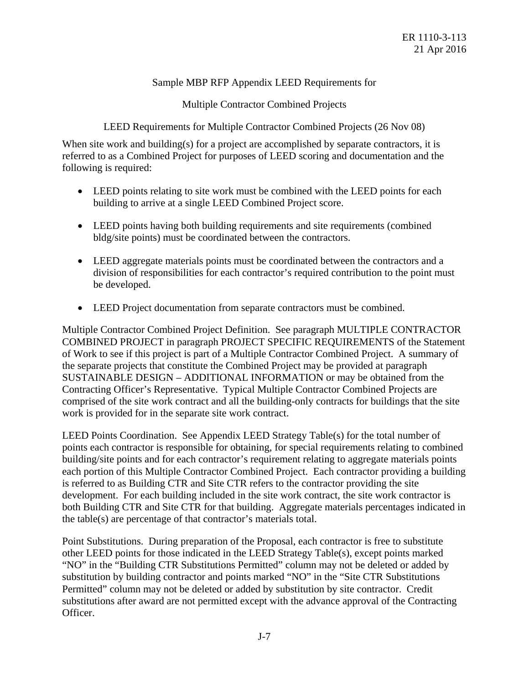# Sample MBP RFP Appendix LEED Requirements for

Multiple Contractor Combined Projects

LEED Requirements for Multiple Contractor Combined Projects (26 Nov 08)

When site work and building(s) for a project are accomplished by separate contractors, it is referred to as a Combined Project for purposes of LEED scoring and documentation and the following is required:

- LEED points relating to site work must be combined with the LEED points for each building to arrive at a single LEED Combined Project score.
- LEED points having both building requirements and site requirements (combined bldg/site points) must be coordinated between the contractors.
- LEED aggregate materials points must be coordinated between the contractors and a division of responsibilities for each contractor's required contribution to the point must be developed.
- LEED Project documentation from separate contractors must be combined.

Multiple Contractor Combined Project Definition. See paragraph MULTIPLE CONTRACTOR COMBINED PROJECT in paragraph PROJECT SPECIFIC REQUIREMENTS of the Statement of Work to see if this project is part of a Multiple Contractor Combined Project. A summary of the separate projects that constitute the Combined Project may be provided at paragraph SUSTAINABLE DESIGN – ADDITIONAL INFORMATION or may be obtained from the Contracting Officer's Representative. Typical Multiple Contractor Combined Projects are comprised of the site work contract and all the building-only contracts for buildings that the site work is provided for in the separate site work contract.

LEED Points Coordination. See Appendix LEED Strategy Table(s) for the total number of points each contractor is responsible for obtaining, for special requirements relating to combined building/site points and for each contractor's requirement relating to aggregate materials points each portion of this Multiple Contractor Combined Project. Each contractor providing a building is referred to as Building CTR and Site CTR refers to the contractor providing the site development. For each building included in the site work contract, the site work contractor is both Building CTR and Site CTR for that building. Aggregate materials percentages indicated in the table(s) are percentage of that contractor's materials total.

Point Substitutions. During preparation of the Proposal, each contractor is free to substitute other LEED points for those indicated in the LEED Strategy Table(s), except points marked "NO" in the "Building CTR Substitutions Permitted" column may not be deleted or added by substitution by building contractor and points marked "NO" in the "Site CTR Substitutions Permitted" column may not be deleted or added by substitution by site contractor. Credit substitutions after award are not permitted except with the advance approval of the Contracting Officer.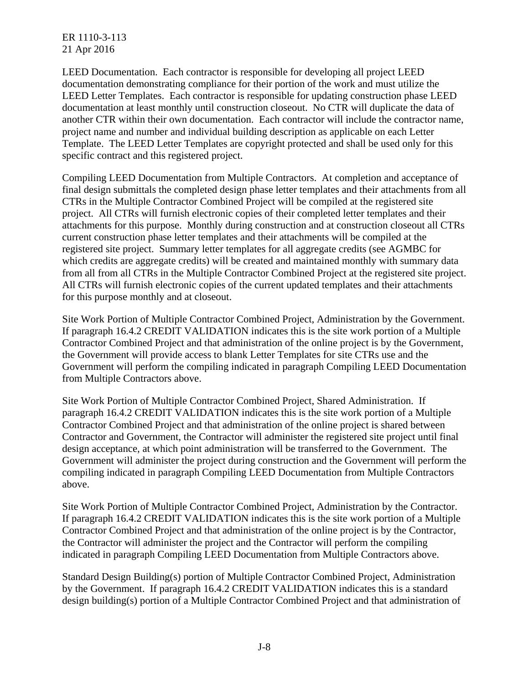ER 1110-3-113 21 Apr 2016

LEED Documentation. Each contractor is responsible for developing all project LEED documentation demonstrating compliance for their portion of the work and must utilize the LEED Letter Templates. Each contractor is responsible for updating construction phase LEED documentation at least monthly until construction closeout. No CTR will duplicate the data of another CTR within their own documentation. Each contractor will include the contractor name, project name and number and individual building description as applicable on each Letter Template. The LEED Letter Templates are copyright protected and shall be used only for this specific contract and this registered project.

Compiling LEED Documentation from Multiple Contractors. At completion and acceptance of final design submittals the completed design phase letter templates and their attachments from all CTRs in the Multiple Contractor Combined Project will be compiled at the registered site project. All CTRs will furnish electronic copies of their completed letter templates and their attachments for this purpose. Monthly during construction and at construction closeout all CTRs current construction phase letter templates and their attachments will be compiled at the registered site project. Summary letter templates for all aggregate credits (see AGMBC for which credits are aggregate credits) will be created and maintained monthly with summary data from all from all CTRs in the Multiple Contractor Combined Project at the registered site project. All CTRs will furnish electronic copies of the current updated templates and their attachments for this purpose monthly and at closeout.

Site Work Portion of Multiple Contractor Combined Project, Administration by the Government. If paragraph 16.4.2 CREDIT VALIDATION indicates this is the site work portion of a Multiple Contractor Combined Project and that administration of the online project is by the Government, the Government will provide access to blank Letter Templates for site CTRs use and the Government will perform the compiling indicated in paragraph Compiling LEED Documentation from Multiple Contractors above.

Site Work Portion of Multiple Contractor Combined Project, Shared Administration. If paragraph 16.4.2 CREDIT VALIDATION indicates this is the site work portion of a Multiple Contractor Combined Project and that administration of the online project is shared between Contractor and Government, the Contractor will administer the registered site project until final design acceptance, at which point administration will be transferred to the Government. The Government will administer the project during construction and the Government will perform the compiling indicated in paragraph Compiling LEED Documentation from Multiple Contractors above.

Site Work Portion of Multiple Contractor Combined Project, Administration by the Contractor. If paragraph 16.4.2 CREDIT VALIDATION indicates this is the site work portion of a Multiple Contractor Combined Project and that administration of the online project is by the Contractor, the Contractor will administer the project and the Contractor will perform the compiling indicated in paragraph Compiling LEED Documentation from Multiple Contractors above.

Standard Design Building(s) portion of Multiple Contractor Combined Project, Administration by the Government. If paragraph 16.4.2 CREDIT VALIDATION indicates this is a standard design building(s) portion of a Multiple Contractor Combined Project and that administration of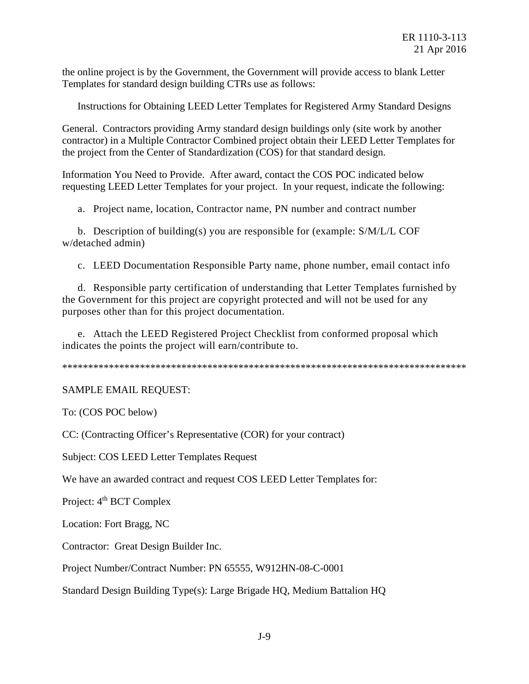the online project is by the Government, the Government will provide access to blank Letter Templates for standard design building CTRs use as follows:

Instructions for Obtaining LEED Letter Templates for Registered Army Standard Designs

General. Contractors providing Army standard design buildings only (site work by another contractor) in a Multiple Contractor Combined project obtain their LEED Letter Templates for the project from the Center of Standardization (COS) for that standard design.

Information You Need to Provide. After award, contact the COS POC indicated below requesting LEED Letter Templates for your project. In your request, indicate the following:

a. Project name, location, Contractor name, PN number and contract number

b. Description of building(s) you are responsible for (example: S/M/L/L COF w/detached admin)

c. LEED Documentation Responsible Party name, phone number, email contact info

d. Responsible party certification of understanding that Letter Templates furnished by the Government for this project are copyright protected and will not be used for any purposes other than for this project documentation.

e. Attach the LEED Registered Project Checklist from conformed proposal which indicates the points the project will earn/contribute to.

\*\*\*\*\*\*\*\*\*\*\*\*\*\*\*\*\*\*\*\*\*\*\*\*\*\*\*\*\*\*\*\*\*\*\*\*\*\*\*\*\*\*\*\*\*\*\*\*\*\*\*\*\*\*\*\*\*\*\*\*\*\*\*\*\*\*\*\*\*\*\*\*\*\*\*\*\*\*

SAMPLE EMAIL REQUEST:

To: (COS POC below)

CC: (Contracting Officer's Representative (COR) for your contract)

Subject: COS LEED Letter Templates Request

We have an awarded contract and request COS LEED Letter Templates for:

Project: 4<sup>th</sup> BCT Complex

Location: Fort Bragg, NC

Contractor: Great Design Builder Inc.

Project Number/Contract Number: PN 65555, W912HN-08-C-0001

Standard Design Building Type(s): Large Brigade HQ, Medium Battalion HQ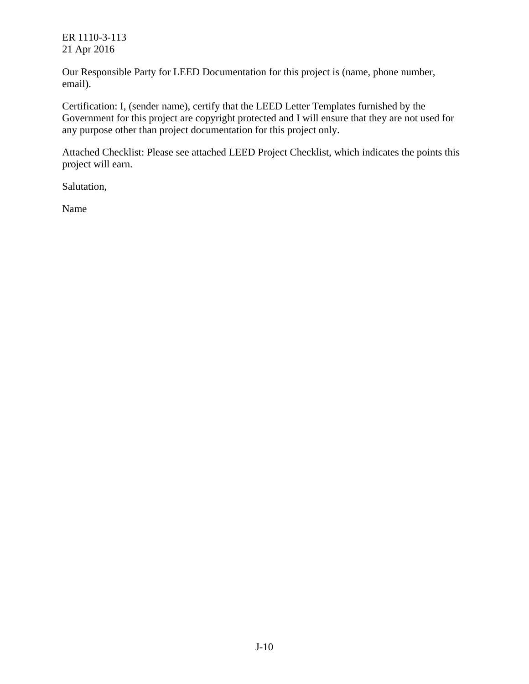ER 1110-3-113 21 Apr 2016

Our Responsible Party for LEED Documentation for this project is (name, phone number, email).

Certification: I, (sender name), certify that the LEED Letter Templates furnished by the Government for this project are copyright protected and I will ensure that they are not used for any purpose other than project documentation for this project only.

Attached Checklist: Please see attached LEED Project Checklist, which indicates the points this project will earn.

Salutation,

Name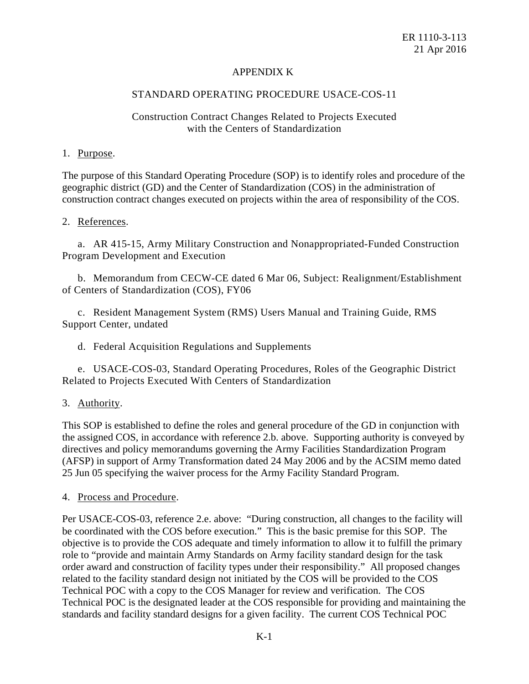# APPENDIX K

#### <span id="page-66-0"></span>STANDARD OPERATING PROCEDURE USACE-COS-11

#### Construction Contract Changes Related to Projects Executed with the Centers of Standardization

#### 1. Purpose.

The purpose of this Standard Operating Procedure (SOP) is to identify roles and procedure of the geographic district (GD) and the Center of Standardization (COS) in the administration of construction contract changes executed on projects within the area of responsibility of the COS.

#### 2. References.

a. AR 415-15, Army Military Construction and Nonappropriated-Funded Construction Program Development and Execution

b. Memorandum from CECW-CE dated 6 Mar 06, Subject: Realignment/Establishment of Centers of Standardization (COS), FY06

c. Resident Management System (RMS) Users Manual and Training Guide, RMS Support Center, undated

d. Federal Acquisition Regulations and Supplements

e. USACE-COS-03, Standard Operating Procedures, Roles of the Geographic District Related to Projects Executed With Centers of Standardization

#### 3. Authority.

This SOP is established to define the roles and general procedure of the GD in conjunction with the assigned COS, in accordance with reference 2.b. above. Supporting authority is conveyed by directives and policy memorandums governing the Army Facilities Standardization Program (AFSP) in support of Army Transformation dated 24 May 2006 and by the ACSIM memo dated 25 Jun 05 specifying the waiver process for the Army Facility Standard Program.

#### 4. Process and Procedure.

Per USACE-COS-03, reference 2.e. above: "During construction, all changes to the facility will be coordinated with the COS before execution." This is the basic premise for this SOP. The objective is to provide the COS adequate and timely information to allow it to fulfill the primary role to "provide and maintain Army Standards on Army facility standard design for the task order award and construction of facility types under their responsibility." All proposed changes related to the facility standard design not initiated by the COS will be provided to the COS Technical POC with a copy to the COS Manager for review and verification. The COS Technical POC is the designated leader at the COS responsible for providing and maintaining the standards and facility standard designs for a given facility. The current COS Technical POC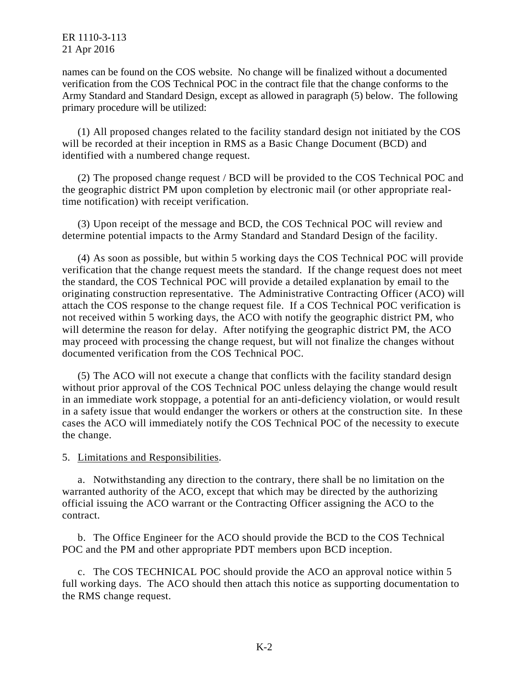<span id="page-67-0"></span>names can be found on the COS website. No change will be finalized without a documented verification from the COS Technical POC in the contract file that the change conforms to the Army Standard and Standard Design, except as allowed in paragraph (5) below. The following primary procedure will be utilized:

(1) All proposed changes related to the facility standard design not initiated by the COS will be recorded at their inception in RMS as a Basic Change Document (BCD) and identified with a numbered change request.

(2) The proposed change request / BCD will be provided to the COS Technical POC and the geographic district PM upon completion by electronic mail (or other appropriate realtime notification) with receipt verification.

(3) Upon receipt of the message and BCD, the COS Technical POC will review and determine potential impacts to the Army Standard and Standard Design of the facility.

(4) As soon as possible, but within 5 working days the COS Technical POC will provide verification that the change request meets the standard. If the change request does not meet the standard, the COS Technical POC will provide a detailed explanation by email to the originating construction representative. The Administrative Contracting Officer (ACO) will attach the COS response to the change request file. If a COS Technical POC verification is not received within 5 working days, the ACO with notify the geographic district PM, who will determine the reason for delay. After notifying the geographic district PM, the ACO may proceed with processing the change request, but will not finalize the changes without documented verification from the COS Technical POC.

(5) The ACO will not execute a change that conflicts with the facility standard design without prior approval of the COS Technical POC unless delaying the change would result in an immediate work stoppage, a potential for an anti-deficiency violation, or would result in a safety issue that would endanger the workers or others at the construction site. In these cases the ACO will immediately notify the COS Technical POC of the necessity to execute the change.

5. Limitations and Responsibilities.

a. Notwithstanding any direction to the contrary, there shall be no limitation on the warranted authority of the ACO, except that which may be directed by the authorizing official issuing the ACO warrant or the Contracting Officer assigning the ACO to the contract.

b. The Office Engineer for the ACO should provide the BCD to the COS Technical POC and the PM and other appropriate PDT members upon BCD inception.

c. The COS TECHNICAL POC should provide the ACO an approval notice within 5 full working days. The ACO should then attach this notice as supporting documentation to the RMS change request.